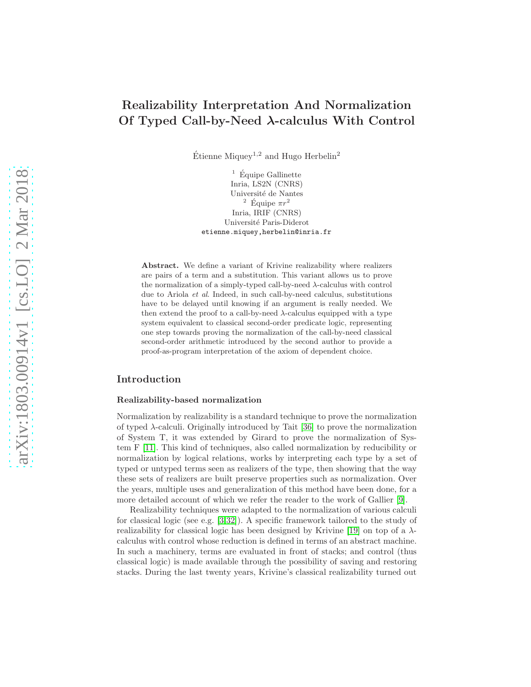# Realizability Interpretation And Normalization Of Typed Call-by-Need λ-calculus With Control

Étienne Miquey<sup>1,2</sup> and Hugo Herbelin<sup>2</sup>

 $1$  Équipe Gallinette Inria, LS2N (CNRS) Université de Nantes <sup>2</sup> Equipe  $\pi r^2$ Inria, IRIF (CNRS) Université Paris-Diderot etienne.miquey,herbelin@inria.fr

Abstract. We define a variant of Krivine realizability where realizers are pairs of a term and a substitution. This variant allows us to prove the normalization of a simply-typed call-by-need  $\lambda$ -calculus with control due to Ariola et al. Indeed, in such call-by-need calculus, substitutions have to be delayed until knowing if an argument is really needed. We then extend the proof to a call-by-need  $\lambda$ -calculus equipped with a type system equivalent to classical second-order predicate logic, representing one step towards proving the normalization of the call-by-need classical second-order arithmetic introduced by the second author to provide a proof-as-program interpretation of the axiom of dependent choice.

### Introduction

### Realizability-based normalization

Normalization by realizability is a standard technique to prove the normalization of typed  $\lambda$ -calculi. Originally introduced by Tait [\[36\]](#page-16-0) to prove the normalization of System T, it was extended by Girard to prove the normalization of System F [\[11\]](#page-15-0). This kind of techniques, also called normalization by reducibility or normalization by logical relations, works by interpreting each type by a set of typed or untyped terms seen as realizers of the type, then showing that the way these sets of realizers are built preserve properties such as normalization. Over the years, multiple uses and generalization of this method have been done, for a more detailed account of which we refer the reader to the work of Gallier [\[9\]](#page-15-1).

Realizability techniques were adapted to the normalization of various calculi for classical logic (see e.g. [\[3](#page-15-2)[,32\]](#page-16-1)). A specific framework tailored to the study of realizability for classical logic has been designed by Krivine [\[19\]](#page-16-2) on top of a  $\lambda$ calculus with control whose reduction is defined in terms of an abstract machine. In such a machinery, terms are evaluated in front of stacks; and control (thus classical logic) is made available through the possibility of saving and restoring stacks. During the last twenty years, Krivine's classical realizability turned out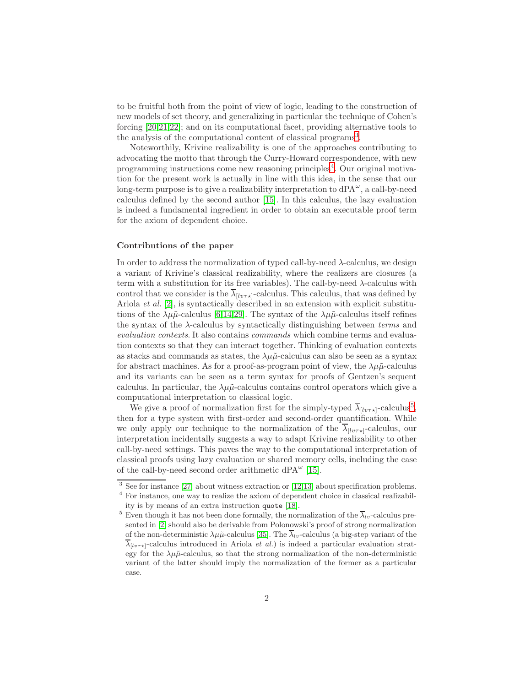to be fruitful both from the point of view of logic, leading to the construction of new models of set theory, and generalizing in particular the technique of Cohen's forcing [\[20](#page-16-3)[,21,](#page-16-4)[22\]](#page-16-5); and on its computational facet, providing alternative tools to the analysis of the computational content of classical programs<sup>[3](#page-1-0)</sup>.

Noteworthily, Krivine realizability is one of the approaches contributing to advocating the motto that through the Curry-Howard correspondence, with new programming instructions come new reasoning principles<sup>[4](#page-1-1)</sup>. Our original motivation for the present work is actually in line with this idea, in the sense that our long-term purpose is to give a realizability interpretation to  $dPA^{\omega}$ , a call-by-need calculus defined by the second author [\[15\]](#page-15-3). In this calculus, the lazy evaluation is indeed a fundamental ingredient in order to obtain an executable proof term for the axiom of dependent choice.

### Contributions of the paper

In order to address the normalization of typed call-by-need  $\lambda$ -calculus, we design a variant of Krivine's classical realizability, where the realizers are closures (a term with a substitution for its free variables). The call-by-need λ-calculus with control that we consider is the  $\lambda_{[lv\tau\star]}$ -calculus. This calculus, that was defined by Ariola *et al.* [\[2\]](#page-15-4), is syntactically described in an extension with explicit substitutions of the  $\lambda \mu \tilde{\mu}$ -calculus [\[6](#page-15-5)[,14,](#page-15-6)[29\]](#page-16-6). The syntax of the  $\lambda \mu \tilde{\mu}$ -calculus itself refines the syntax of the λ-calculus by syntactically distinguishing between *terms* and *evaluation contexts*. It also contains *commands* which combine terms and evaluation contexts so that they can interact together. Thinking of evaluation contexts as stacks and commands as states, the  $\lambda \mu \tilde{\mu}$ -calculus can also be seen as a syntax for abstract machines. As for a proof-as-program point of view, the  $\lambda \mu \tilde{\mu}$ -calculus and its variants can be seen as a term syntax for proofs of Gentzen's sequent calculus. In particular, the  $\lambda \mu \tilde{\mu}$ -calculus contains control operators which give a computational interpretation to classical logic.

We give a proof of normalization first for the simply-typed  $\overline{\lambda}_{[lv\tau\star]}$ -calculus<sup>[5](#page-1-2)</sup>, then for a type system with first-order and second-order quantification. While we only apply our technique to the normalization of the  $\lambda_{[lv\tau\star]}$ -calculus, our interpretation incidentally suggests a way to adapt Krivine realizability to other call-by-need settings. This paves the way to the computational interpretation of classical proofs using lazy evaluation or shared memory cells, including the case of the call-by-need second order arithmetic  $dPA^{\omega}$  [\[15\]](#page-15-3).

 $3$  See for instance [\[27\]](#page-16-7) about witness extraction or [\[12](#page-15-7)[,13\]](#page-15-8) about specification problems. <sup>4</sup> For instance, one way to realize the axiom of dependent choice in classical realizabil-

<span id="page-1-1"></span><span id="page-1-0"></span>ity is by means of an extra instruction quote [\[18\]](#page-15-9).

<span id="page-1-2"></span><sup>&</sup>lt;sup>5</sup> Even though it has not been done formally, the normalization of the  $\overline{\lambda}_{lv}$ -calculus presented in [\[2\]](#page-15-4) should also be derivable from Polonowski's proof of strong normalization of the non-deterministic  $\lambda \mu \tilde{\mu}$ -calculus [\[35\]](#page-16-8). The  $\overline{\lambda}_{lv}$ -calculus (a big-step variant of the  $\overline{\lambda}_{[lvr\star]}$ -calculus introduced in Ariola *et al.*) is indeed a particular evaluation strategy for the  $\lambda \mu \tilde{\mu}$ -calculus, so that the strong normalization of the non-deterministic variant of the latter should imply the normalization of the former as a particular case.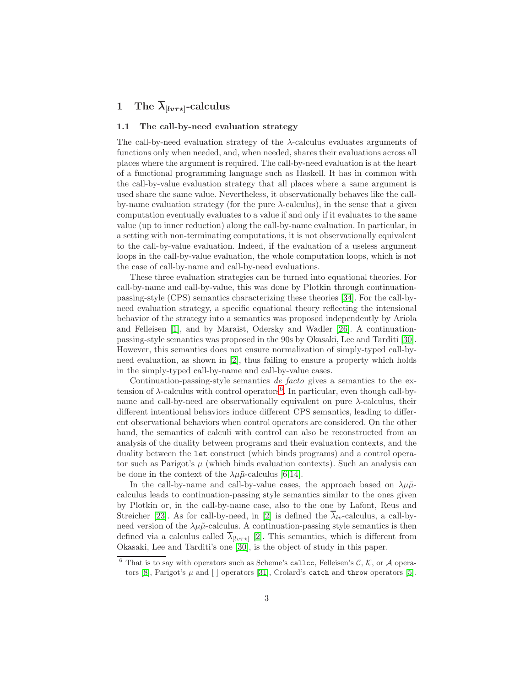## <span id="page-2-1"></span>1 The  $\overline{\lambda}_{[lv\tau\star]}$ -calculus

### 1.1 The call-by-need evaluation strategy

The call-by-need evaluation strategy of the  $\lambda$ -calculus evaluates arguments of functions only when needed, and, when needed, shares their evaluations across all places where the argument is required. The call-by-need evaluation is at the heart of a functional programming language such as Haskell. It has in common with the call-by-value evaluation strategy that all places where a same argument is used share the same value. Nevertheless, it observationally behaves like the callby-name evaluation strategy (for the pure  $\lambda$ -calculus), in the sense that a given computation eventually evaluates to a value if and only if it evaluates to the same value (up to inner reduction) along the call-by-name evaluation. In particular, in a setting with non-terminating computations, it is not observationally equivalent to the call-by-value evaluation. Indeed, if the evaluation of a useless argument loops in the call-by-value evaluation, the whole computation loops, which is not the case of call-by-name and call-by-need evaluations.

These three evaluation strategies can be turned into equational theories. For call-by-name and call-by-value, this was done by Plotkin through continuationpassing-style (CPS) semantics characterizing these theories [\[34\]](#page-16-9). For the call-byneed evaluation strategy, a specific equational theory reflecting the intensional behavior of the strategy into a semantics was proposed independently by Ariola and Felleisen [\[1\]](#page-15-10), and by Maraist, Odersky and Wadler [\[26\]](#page-16-10). A continuationpassing-style semantics was proposed in the 90s by Okasaki, Lee and Tarditi [\[30\]](#page-16-11). However, this semantics does not ensure normalization of simply-typed call-byneed evaluation, as shown in [\[2\]](#page-15-4), thus failing to ensure a property which holds in the simply-typed call-by-name and call-by-value cases.

Continuation-passing-style semantics *de facto* gives a semantics to the extension of  $\lambda$ -calculus with control operators<sup>[6](#page-2-0)</sup>. In particular, even though call-byname and call-by-need are observationally equivalent on pure  $\lambda$ -calculus, their different intentional behaviors induce different CPS semantics, leading to different observational behaviors when control operators are considered. On the other hand, the semantics of calculi with control can also be reconstructed from an analysis of the duality between programs and their evaluation contexts, and the duality between the let construct (which binds programs) and a control operator such as Parigot's  $\mu$  (which binds evaluation contexts). Such an analysis can be done in the context of the  $\lambda \mu \tilde{\mu}$ -calculus [\[6](#page-15-5)[,14\]](#page-15-6).

In the call-by-name and call-by-value cases, the approach based on  $\lambda \mu \tilde{\mu}$ calculus leads to continuation-passing style semantics similar to the ones given by Plotkin or, in the call-by-name case, also to the one by Lafont, Reus and Streicher [\[23\]](#page-16-12). As for call-by-need, in [\[2\]](#page-15-4) is defined the  $\overline{\lambda}_{lv}$ -calculus, a call-byneed version of the  $\lambda \mu \tilde{\mu}$ -calculus. A continuation-passing style semantics is then defined via a calculus called  $\lambda_{[lv\tau\star]}$  [\[2\]](#page-15-4). This semantics, which is different from Okasaki, Lee and Tarditi's one [\[30\]](#page-16-11), is the object of study in this paper.

<span id="page-2-0"></span> $6$  That is to say with operators such as Scheme's callcc, Felleisen's  $C, K$ , or  $A$  opera-tors [\[8\]](#page-15-11), Parigot's  $\mu$  and [] operators [\[31\]](#page-16-13), Crolard's catch and throw operators [\[5\]](#page-15-12).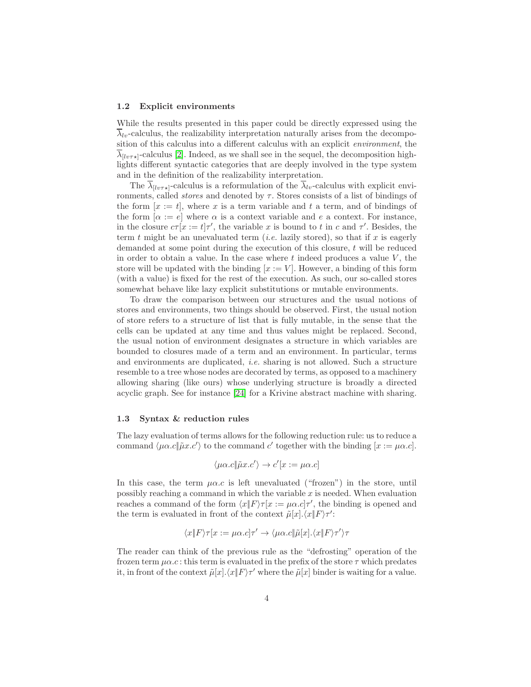#### 1.2 Explicit environments

While the results presented in this paper could be directly expressed using the  $\lambda_{lv}$ -calculus, the realizability interpretation naturally arises from the decomposition of this calculus into a different calculus with an explicit *environment*, the  $\lambda_{[lv\tau\star]}$ -calculus [\[2\]](#page-15-4). Indeed, as we shall see in the sequel, the decomposition highlights different syntactic categories that are deeply involved in the type system and in the definition of the realizability interpretation.

The  $\lambda_{[lv\tau\star]}$ -calculus is a reformulation of the  $\lambda_{lv}$ -calculus with explicit environments, called *stores* and denoted by τ. Stores consists of a list of bindings of the form  $[x := t]$ , where x is a term variable and t a term, and of bindings of the form  $[\alpha := e]$  where  $\alpha$  is a context variable and e a context. For instance, in the closure  $c\tau[x := t]\tau'$ , the variable x is bound to t in c and  $\tau'$ . Besides, the term  $t$  might be an unevaluated term *(i.e.* lazily stored), so that if  $x$  is eagerly demanded at some point during the execution of this closure, t will be reduced in order to obtain a value. In the case where  $t$  indeed produces a value  $V$ , the store will be updated with the binding  $[x := V]$ . However, a binding of this form (with a value) is fixed for the rest of the execution. As such, our so-called stores somewhat behave like lazy explicit substitutions or mutable environments.

To draw the comparison between our structures and the usual notions of stores and environments, two things should be observed. First, the usual notion of store refers to a structure of list that is fully mutable, in the sense that the cells can be updated at any time and thus values might be replaced. Second, the usual notion of environment designates a structure in which variables are bounded to closures made of a term and an environment. In particular, terms and environments are duplicated, *i.e.* sharing is not allowed. Such a structure resemble to a tree whose nodes are decorated by terms, as opposed to a machinery allowing sharing (like ours) whose underlying structure is broadly a directed acyclic graph. See for instance [\[24\]](#page-16-14) for a Krivine abstract machine with sharing.

#### 1.3 Syntax & reduction rules

The lazy evaluation of terms allows for the following reduction rule: us to reduce a command  $\langle \mu \alpha.c | \tilde{\mu} x.c' \rangle$  to the command c' together with the binding  $[x := \mu \alpha.c]$ .

$$
\langle \mu \alpha.c \vert \tilde{\mu} x.c' \rangle \rightarrow c'[x := \mu \alpha.c]
$$

In this case, the term  $\mu \alpha$ .c is left unevaluated ("frozen") in the store, until possibly reaching a command in which the variable  $x$  is needed. When evaluation reaches a command of the form  $\langle x|F \rangle \tau[x := \mu \alpha.c] \tau'$ , the binding is opened and the term is evaluated in front of the context  $\tilde{\mu}[x].\langle x||F\rangle\tau'$ :

$$
\langle x \vert F \rangle \tau[x := \mu \alpha.c] \tau' \to \langle \mu \alpha.c \vert \tilde{\mu}[x].\langle x \vert F \rangle \tau' \rangle \tau
$$

The reader can think of the previous rule as the "defrosting" operation of the frozen term  $\mu\alpha.c$ : this term is evaluated in the prefix of the store  $\tau$  which predates it, in front of the context  $\tilde{\mu}[x].\langle x||F\rangle\tau'$  where the  $\tilde{\mu}[x]$  binder is waiting for a value.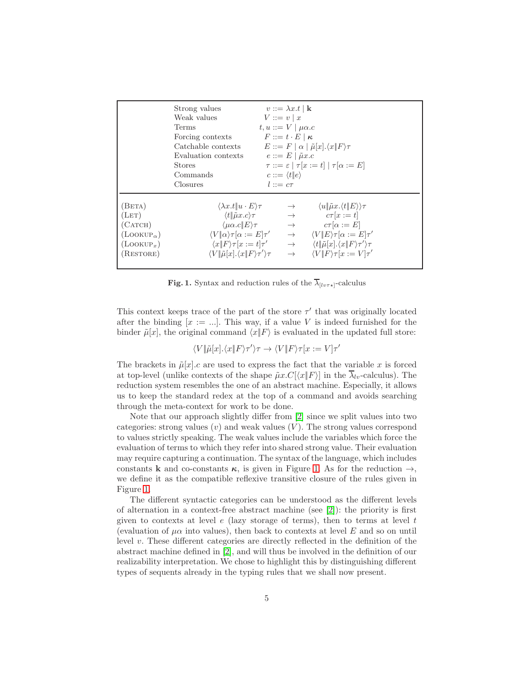|                                                                                | Strong values<br>Weak values<br>Terms<br>Forcing contexts<br>Catchable contexts<br>Evaluation contexts<br><b>Stores</b><br>Commands<br>Closures                                                                                                                                                     | $v ::= \lambda x.t \mid \mathbf{k}$<br>$V ::= v   x$<br>$t, u ::= V \mid \mu \alpha.c$<br>$F ::= t \cdot E \mid \kappa$<br>$e ::= E \mid \tilde{\mu}x.c$<br>$c ::= \langle t   e \rangle$<br>$l ::= c\tau$ | $E ::= F   \alpha   \tilde{\mu}[x].\langle x   F \rangle \tau$<br>$\tau ::= \varepsilon   \tau[x := t]   \tau[\alpha := E]$                                                                                                                                                                               |  |
|--------------------------------------------------------------------------------|-----------------------------------------------------------------------------------------------------------------------------------------------------------------------------------------------------------------------------------------------------------------------------------------------------|------------------------------------------------------------------------------------------------------------------------------------------------------------------------------------------------------------|-----------------------------------------------------------------------------------------------------------------------------------------------------------------------------------------------------------------------------------------------------------------------------------------------------------|--|
| (BETA)<br>(LET)<br>(CATCH)<br>$(LookUP_{\alpha})$<br>$(Lookup_x)$<br>(RESTORE) | $\langle \lambda x.t \vert u \cdot E \rangle \tau$<br>$\langle t \tilde{\mu}x.c\rangle\tau$<br>$\langle \mu \alpha.c \Vert E \rangle \tau$<br>$\langle V \alpha\rangle\tau \alpha:=E \tau'$<br>$\langle x F\rangle\tau[x:=t]\tau'$<br>$\langle V \tilde{\mu}[x].\langle x F\rangle\tau'\rangle\tau$ | $\rightarrow$<br>$\rightarrow$<br>$\rightarrow$<br>$\rightarrow$                                                                                                                                           | $\langle u \Vert \tilde{\mu}x. \langle t \Vert E \rangle \rangle \tau$<br>$c\tau[x := t]$<br>$c\tau[\alpha := E]$<br>$\langle V E\rangle\tau[\alpha := E]\tau'$<br>$\rightarrow$<br>$\langle t \tilde{\mu}[x].\langle x F\rangle\tau'\rangle\tau$<br>$\rightarrow$<br>$\langle V F\rangle\tau[x:=V]\tau'$ |  |

<span id="page-4-0"></span>Fig. 1. Syntax and reduction rules of the  $\overline{\lambda}_{[lv\tau\star]}$ -calculus

This context keeps trace of the part of the store  $\tau'$  that was originally located after the binding  $[x := ...]$ . This way, if a value V is indeed furnished for the binder  $\tilde{\mu}[x]$ , the original command  $\langle x|F\rangle$  is evaluated in the updated full store:

$$
\langle V|\tilde{\mu}[x].\langle x|F\rangle\tau'\rangle\tau \to \langle V|F\rangle\tau[x:=V]\tau'
$$

The brackets in  $\tilde{\mu}[x]$ .c are used to express the fact that the variable x is forced at top-level (unlike contexts of the shape  $\tilde{\mu}x.C[\langle x|F \rangle]$  in the  $\overline{\lambda}_{lv}$ -calculus). The reduction system resembles the one of an abstract machine. Especially, it allows us to keep the standard redex at the top of a command and avoids searching through the meta-context for work to be done.

Note that our approach slightly differ from [\[2\]](#page-15-4) since we split values into two categories: strong values  $(v)$  and weak values  $(V)$ . The strong values correspond to values strictly speaking. The weak values include the variables which force the evaluation of terms to which they refer into shared strong value. Their evaluation may require capturing a continuation. The syntax of the language, which includes constants **k** and co-constants  $\kappa$ , is given in Figure [1.](#page-4-0) As for the reduction  $\rightarrow$ , we define it as the compatible reflexive transitive closure of the rules given in Figure [1.](#page-4-0)

The different syntactic categories can be understood as the different levels of alternation in a context-free abstract machine (see [\[2\]](#page-15-4)): the priority is first given to contexts at level  $e$  (lazy storage of terms), then to terms at level  $t$ (evaluation of  $\mu\alpha$  into values), then back to contexts at level E and so on until level v. These different categories are directly reflected in the definition of the abstract machine defined in [\[2\]](#page-15-4), and will thus be involved in the definition of our realizability interpretation. We chose to highlight this by distinguishing different types of sequents already in the typing rules that we shall now present.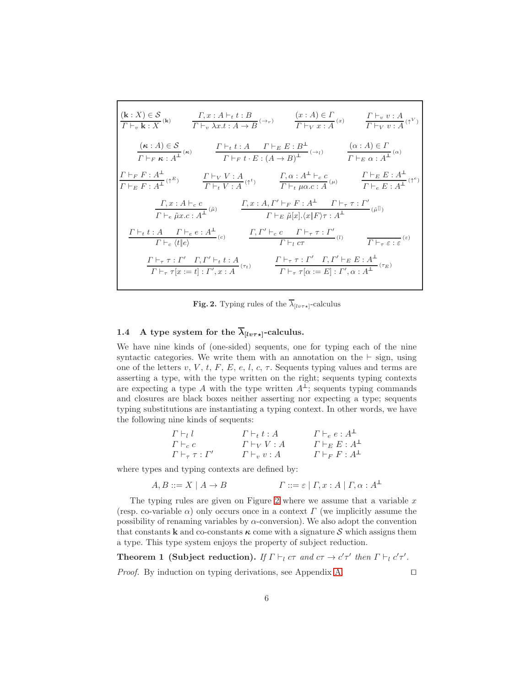$$
\begin{array}{llll}\n(\mathbf{k}:X) \in \mathcal{S} & \Gamma, x:A \vdash_{t} t:B \\
\hline\n\Gamma \vdash_{v} \mathbf{k}:X \quad & \overline{\Gamma \vdash_{v} \lambda x.t:A \rightarrow B} \quad & \overline{\Gamma \vdash_{v} x:A} \quad & \overline{\Gamma \vdash_{v} v:A} \quad & \overline{\Gamma \vdash_{v} v:A} \quad & \overline{\Gamma \vdash_{v} v:A} \quad & \overline{\Gamma \vdash_{v} v:A} \quad & \overline{\Gamma \vdash_{v} v:A} \quad & \overline{\Gamma \vdash_{v} v:A} \quad & \overline{\Gamma \vdash_{F} v:A} \quad & \overline{\Gamma \vdash_{F} t \cdot E \cdot (A \rightarrow B)^{\perp}} \quad & \overline{\Gamma \vdash_{E} v:A} \quad & \overline{\Gamma \vdash_{E} v:A} \quad & \overline{\Gamma \vdash_{E} F:A^{\perp}} \quad & \overline{\Gamma \vdash_{V} V:A} \quad & \overline{\Gamma \vdash_{F} t \cdot E \cdot (A \rightarrow B)^{\perp}} \quad & \overline{\Gamma \vdash_{E} w:A} \quad & \overline{\Gamma \vdash_{E} E:A^{\perp}} \quad & \overline{\Gamma \vdash_{E} F:A^{\perp}} \quad & \overline{\Gamma \vdash_{E} V:A} \quad & \overline{\Gamma \vdash_{E} \mu \alpha.c:A} \quad & \overline{\Gamma \vdash_{E} E:A^{\perp}} \quad & \overline{\Gamma \vdash_{E} E:A^{\perp}} \quad & \overline{\Gamma \vdash_{E} E:A^{\perp}} \quad & \overline{\Gamma \vdash_{E} E:A^{\perp}} \quad & \overline{\Gamma \vdash_{E} E:A^{\perp}} \quad & \overline{\Gamma \vdash_{E} E} \cdot & \overline{\Gamma \vdash_{E} v:A} \quad & \overline{\Gamma \vdash_{E} v} \cdot & \overline{\Gamma \vdash_{E} v} \cdot & \overline{\Gamma \vdash_{E} v} \cdot & \overline{\Gamma \vdash_{E} v} \cdot & \overline{\Gamma \vdash_{E} v} \cdot & \overline{\Gamma \vdash_{E} v} \cdot & \overline{\Gamma \vdash
$$

<span id="page-5-0"></span>**Fig. 2.** Typing rules of the  $\overline{\lambda}_{[lv\tau\star]}$ -calculus

### 1.4 A type system for the  $\overline{\lambda}_{[lv\tau\star]}$ -calculus.

We have nine kinds of (one-sided) sequents, one for typing each of the nine syntactic categories. We write them with an annotation on the  $\vdash$  sign, using one of the letters  $v, V, t, F, E, e, l, c, \tau$ . Sequents typing values and terms are asserting a type, with the type written on the right; sequents typing contexts are expecting a type A with the type written  $A^{\perp}$ ; sequents typing commands and closures are black boxes neither asserting nor expecting a type; sequents typing substitutions are instantiating a typing context. In other words, we have the following nine kinds of sequents:

| $\Gamma \vdash_l l$                   | $\Gamma\vdash_t t:A$ | $\Gamma\vdash_e e:A^{\perp}$    |
|---------------------------------------|----------------------|---------------------------------|
| $\Gamma \vdash_c c$                   | $\Gamma\vdash_V V:A$ | $\Gamma \vdash_E E : A^{\perp}$ |
| $\Gamma \vdash_{\tau} \tau : \Gamma'$ | $\Gamma\vdash_v v:A$ | $\Gamma \vdash_F F : A^{\perp}$ |

where types and typing contexts are defined by:

 $A, B ::= X \mid A \rightarrow B$   $\qquad \qquad \Gamma ::= \varepsilon \mid \Gamma, x : A \mid \Gamma, \alpha : A^{\perp}$ 

The typing rules are given on Figure [2](#page-5-0) where we assume that a variable  $x$ (resp. co-variable  $\alpha$ ) only occurs once in a context  $\Gamma$  (we implicitly assume the possibility of renaming variables by  $\alpha$ -conversion). We also adopt the convention that constants **k** and co-constants  $\kappa$  come with a signature S which assigns them a type. This type system enjoys the property of subject reduction.

<span id="page-5-1"></span>**Theorem 1** (Subject reduction). *If*  $\Gamma \vdash_l cr$  *and*  $c\tau \to c'\tau'$  *then*  $\Gamma \vdash_l c'\tau'$ *. Proof.* By induction on typing derivations, see Appendix [A.](#page-17-0) □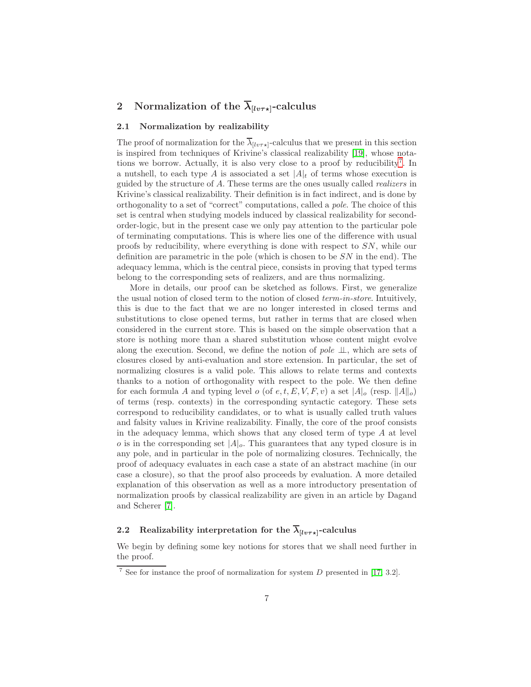### 2 Normalization of the  $\lambda_{[lv\tau\star]}$ -calculus

### 2.1 Normalization by realizability

The proof of normalization for the  $\lambda_{[lv\tau\star]}$ -calculus that we present in this section is inspired from techniques of Krivine's classical realizability [\[19\]](#page-16-2), whose nota-tions we borrow. Actually, it is also very close to a proof by reducibility<sup>[7](#page-6-0)</sup>. In a nutshell, to each type A is associated a set  $|A|_t$  of terms whose execution is guided by the structure of A. These terms are the ones usually called *realizers* in Krivine's classical realizability. Their definition is in fact indirect, and is done by orthogonality to a set of "correct" computations, called a *pole*. The choice of this set is central when studying models induced by classical realizability for secondorder-logic, but in the present case we only pay attention to the particular pole of terminating computations. This is where lies one of the difference with usual proofs by reducibility, where everything is done with respect to SN, while our definition are parametric in the pole (which is chosen to be  $SN$  in the end). The adequacy lemma, which is the central piece, consists in proving that typed terms belong to the corresponding sets of realizers, and are thus normalizing.

More in details, our proof can be sketched as follows. First, we generalize the usual notion of closed term to the notion of closed *term-in-store*. Intuitively, this is due to the fact that we are no longer interested in closed terms and substitutions to close opened terms, but rather in terms that are closed when considered in the current store. This is based on the simple observation that a store is nothing more than a shared substitution whose content might evolve along the execution. Second, we define the notion of *pole* ⊥⊥, which are sets of closures closed by anti-evaluation and store extension. In particular, the set of normalizing closures is a valid pole. This allows to relate terms and contexts thanks to a notion of orthogonality with respect to the pole. We then define for each formula A and typing level o (of e, t, E, V, F, v) a set  $|A|_o$  (resp.  $||A||_o$ ) of terms (resp. contexts) in the corresponding syntactic category. These sets correspond to reducibility candidates, or to what is usually called truth values and falsity values in Krivine realizability. Finally, the core of the proof consists in the adequacy lemma, which shows that any closed term of type  $A$  at level  $\alpha$  is in the corresponding set  $|A|_o$ . This guarantees that any typed closure is in any pole, and in particular in the pole of normalizing closures. Technically, the proof of adequacy evaluates in each case a state of an abstract machine (in our case a closure), so that the proof also proceeds by evaluation. A more detailed explanation of this observation as well as a more introductory presentation of normalization proofs by classical realizability are given in an article by Dagand and Scherer [\[7\]](#page-15-13).

### 2.2 Realizability interpretation for the  $\overline{\lambda}_{[lv\tau\star]}$ -calculus

We begin by defining some key notions for stores that we shall need further in the proof.

<span id="page-6-0"></span><sup>&</sup>lt;sup>7</sup> See for instance the proof of normalization for system  $D$  presented in [\[17,](#page-15-14) 3.2].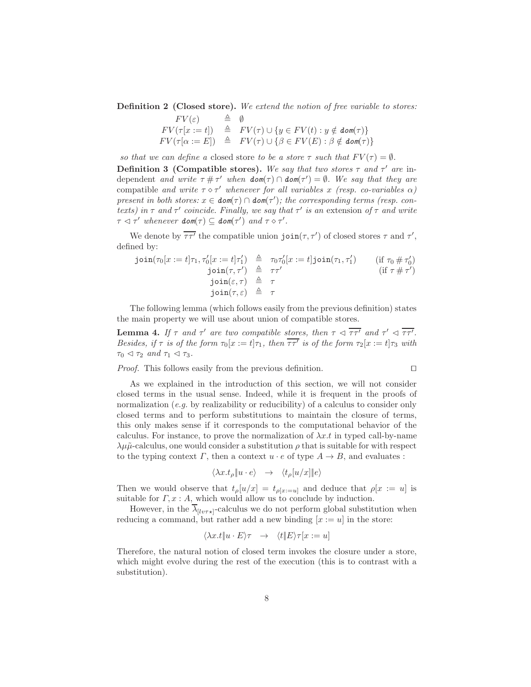Definition 2 (Closed store). *We extend the notion of free variable to stores:*

$$
FV(\varepsilon) \triangleq \emptyset
$$
  
\n
$$
FV(\tau[x := t]) \triangleq FV(\tau) \cup \{y \in FV(t) : y \notin \text{dom}(\tau)\}
$$
  
\n
$$
FV(\tau[\alpha := E]) \triangleq FV(\tau) \cup \{\beta \in FV(E) : \beta \notin \text{dom}(\tau)\}
$$

*so that we can define a closed store to be a store*  $\tau$  *such that*  $F V(\tau) = \emptyset$ *.* 

Definition 3 (Compatible stores). *We say that two stores* τ *and* τ ′ *are* independent *and write*  $\tau \# \tau'$  when  $\text{dom}(\tau) \cap \text{dom}(\tau') = \emptyset$ . We say that they are compatible *and write*  $\tau \circ \tau'$  *whenever for all variables* x *(resp. co-variables*  $\alpha$ ) *present in both stores:*  $x \in \text{dom}(\tau) \cap \text{dom}(\tau')$ ; the corresponding terms (resp. con*texts)* in  $\tau$  *and*  $\tau'$  *coincide. Finally, we say that*  $\tau'$  *is an extension of*  $\tau$  *and write*  $\tau \lhd \tau'$  whenever  $\text{dom}(\tau) \subseteq \text{dom}(\tau')$  and  $\tau \lhd \tau'$ .

We denote by  $\overline{\tau\tau'}$  the compatible union join $(\tau, \tau')$  of closed stores  $\tau$  and  $\tau'$ , defined by:

$$
\begin{array}{rcl}\n\text{join}(\tau_0[x := t]\tau_1, \tau'_0[x := t]\tau'_1) & \triangleq & \tau_0 \tau'_0[x := t]\n\text{join}(\tau_1, \tau'_1) & (\text{if } \tau_0 \# \tau'_0) \\
& \text{join}(\tau, \tau') & \triangleq & \tau \tau' \\
& \text{join}(\varepsilon, \tau) & \triangleq & \tau \\
& \text{join}(\tau, \varepsilon) & \triangleq & \tau\n\end{array}
$$

The following lemma (which follows easily from the previous definition) states the main property we will use about union of compatible stores.

**Lemma 4.** If  $\tau$  and  $\tau'$  are two compatible stores, then  $\tau \triangleleft \tau \tau'$  and  $\tau' \triangleleft \tau \tau'$ . *Besides, if*  $\tau$  *is of the form*  $\tau_0[x := t]\tau_1$ *, then*  $\overline{\tau \tau'}$  *is of the form*  $\tau_2[x := t]\tau_3$  *with*  $\tau_0 \lhd \tau_2$  *and*  $\tau_1 \lhd \tau_3$ *.* 

*Proof.* This follows easily from the previous definition. □

As we explained in the introduction of this section, we will not consider closed terms in the usual sense. Indeed, while it is frequent in the proofs of normalization (*e.g.* by realizability or reducibility) of a calculus to consider only closed terms and to perform substitutions to maintain the closure of terms, this only makes sense if it corresponds to the computational behavior of the calculus. For instance, to prove the normalization of  $\lambda x.t$  in typed call-by-name  $\lambda \mu \tilde{\mu}$ -calculus, one would consider a substitution  $\rho$  that is suitable for with respect to the typing context  $\Gamma$ , then a context  $u \cdot e$  of type  $A \to B$ , and evaluates :

<span id="page-7-0"></span>
$$
\langle \lambda x. t_{\rho} \| u \cdot e \rangle \rightarrow \langle t_{\rho} [u/x] \| e \rangle
$$

Then we would observe that  $t_{\rho}[u/x] = t_{\rho[x:=u]}$  and deduce that  $\rho[x := u]$  is suitable for  $\Gamma, x : A$ , which would allow us to conclude by induction.

However, in the  $\lambda_{[lv\tau\star]}$ -calculus we do not perform global substitution when reducing a command, but rather add a new binding  $[x := u]$  in the store:

$$
\langle \lambda x. t \Vert u \cdot E \rangle \tau \quad \rightarrow \quad \langle t \Vert E \rangle \tau [x := u]
$$

Therefore, the natural notion of closed term invokes the closure under a store, which might evolve during the rest of the execution (this is to contrast with a substitution).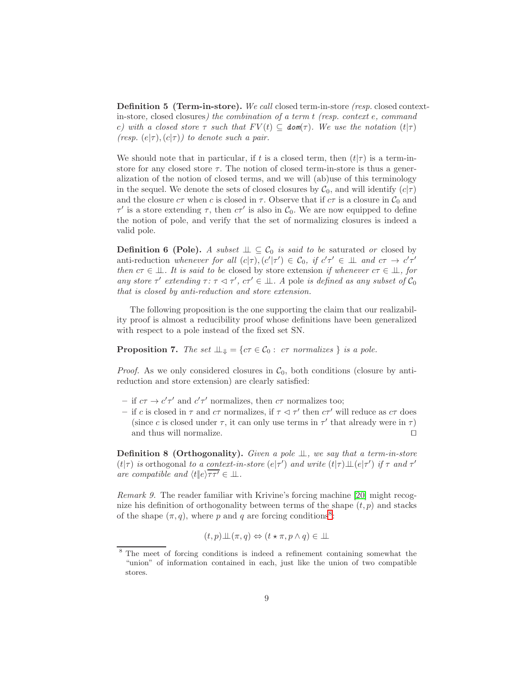Definition 5 (Term-in-store). *We call* closed term-in-store *(resp.* closed contextin-store*,* closed closures*) the combination of a term* t *(resp. context* e*, command c*) with a closed store  $\tau$  *such that*  $F V(t) \subseteq \text{dom}(\tau)$ *. We use the notation*  $(t|\tau)$ *(resp.*  $(e|\tau)$ *,*  $(c|\tau)$ *) to denote such a pair.* 

We should note that in particular, if t is a closed term, then  $(t|\tau)$  is a term-instore for any closed store  $\tau$ . The notion of closed term-in-store is thus a generalization of the notion of closed terms, and we will (ab)use of this terminology in the sequel. We denote the sets of closed closures by  $C_0$ , and will identify  $(c|\tau)$ and the closure  $c\tau$  when c is closed in  $\tau$ . Observe that if  $c\tau$  is a closure in  $\mathcal{C}_0$  and  $\tau'$  is a store extending  $\tau$ , then  $c\tau'$  is also in  $\mathcal{C}_0$ . We are now equipped to define the notion of pole, and verify that the set of normalizing closures is indeed a valid pole.

**Definition 6 (Pole).** *A subset*  $\perp \!\!\! \perp \subseteq \mathcal{C}_0$  *is said to be* saturated *or* closed by anti-reduction *whenever for all*  $(c|\tau)$ ,  $(c'|\tau') \in C_0$ , if  $c'\tau' \in \mathcal{I}$  and  $c\tau \to c'\tau'$ *then*  $c\tau \in \mathcal{L}$ *. It is said to be* closed by store extension *if whenever*  $c\tau \in \mathcal{L}$ *, for any store*  $\tau'$  *extending*  $\tau: \tau \leq \tau'$ *,*  $c\tau' \in \bot$  *<i>A* pole *is defined as any subset of*  $C_0$ *that is closed by anti-reduction and store extension.*

<span id="page-8-1"></span>The following proposition is the one supporting the claim that our realizability proof is almost a reducibility proof whose definitions have been generalized with respect to a pole instead of the fixed set SN.

**Proposition 7.** *The set*  $\perp \!\!\!\perp_{\Downarrow} = \{c \tau \in C_0 : c \tau \text{ normalizes } \}$  *is a pole.* 

*Proof.* As we only considered closures in  $C_0$ , both conditions (closure by antireduction and store extension) are clearly satisfied:

- $-$  if  $c\tau$  →  $c'\tau'$  and  $c'\tau'$  normalizes, then  $c\tau$  normalizes too;
- if *c* is closed in τ and  $cτ$  normalizes, if  $τ ⊲ τ'$  then  $cτ'$  will reduce as  $cτ$  does (since c is closed under  $\tau$ , it can only use terms in  $\tau'$  that already were in  $\tau$ ) and thus will normalize. ⊓⊔

Definition 8 (Orthogonality). *Given a pole* ⊥⊥*, we say that a term-in-store* (t| $\tau$ ) *is* orthogonal *to a context-in-store* (e| $\tau'$ ) *and write* (t| $\tau$ ) $\perp$ (e| $\tau'$ ) *if*  $\tau$  *and*  $\tau'$ *are compatible and*  $\langle t||e \rangle \overline{\tau \tau'} \in \perp \perp$ .

*Remark 9.* The reader familiar with Krivine's forcing machine [\[20\]](#page-16-3) might recognize his definition of orthogonality between terms of the shape  $(t, p)$  and stacks of the shape  $(\pi, q)$ , where p and q are forcing conditions<sup>[8](#page-8-0)</sup>:

$$
(t, p) \perp \perp (\pi, q) \Leftrightarrow (t \star \pi, p \wedge q) \in \perp \perp
$$

<span id="page-8-0"></span><sup>8</sup> The meet of forcing conditions is indeed a refinement containing somewhat the "union" of information contained in each, just like the union of two compatible stores.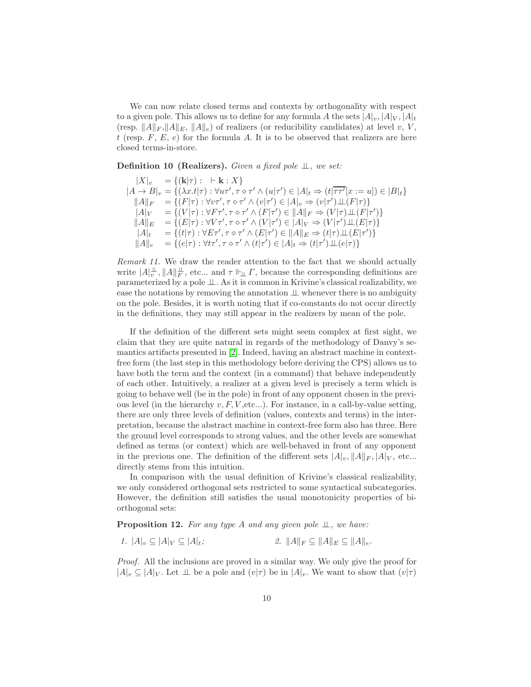We can now relate closed terms and contexts by orthogonality with respect to a given pole. This allows us to define for any formula A the sets  $|A|_v, |A|_V, |A|_t$ (resp.  $||A||_F, ||A||_E, ||A||_e$ ) of realizers (or reducibility candidates) at level v, V, t (resp.  $F, E, e$ ) for the formula A. It is to be observed that realizers are here closed terms-in-store.

Definition 10 (Realizers). *Given a fixed pole* ⊥, we set:

$$
|X|_{v} = \{(\mathbf{k}|\tau) : \ \vdash \mathbf{k} : X\}
$$
  
\n
$$
|A \to B|_{v} = \{(\lambda x.t|\tau) : \forall u\tau', \tau \circ \tau' \land (u|\tau') \in |A|_{t} \Rightarrow (t|\overline{\tau}\tau'[x := u]) \in |B|_{t}\}
$$
  
\n
$$
||A||_{F} = \{(\overline{F}|\tau) : \forall v\tau', \tau \circ \tau' \land (v|\tau') \in |A|_{v} \Rightarrow (v|\tau') \perp (F|\tau)\}
$$
  
\n
$$
||A||_{V} = \{(\overline{V}|\tau) : \forall F\tau', \tau \circ \tau' \land (F|\tau') \in ||A||_{F} \Rightarrow (\overline{V}|\tau) \perp (F|\tau')\}
$$
  
\n
$$
||A||_{E} = \{(\overline{E}|\tau) : \forall \overline{V}\tau', \tau \circ \tau' \land (\overline{V}|\tau') \in |A|\overline{V} \Rightarrow (\overline{V}|\tau') \perp (E|\tau')\}
$$
  
\n
$$
||A|_{t} = \{(\overline{t}|\tau) : \forall E\tau', \tau \circ \tau' \land (E|\tau') \in ||A||_{E} \Rightarrow (\overline{t}|\tau) \perp (E|\tau')\}
$$
  
\n
$$
||A||_{e} = \{(\overline{e}|\tau) : \forall t\tau', \tau \circ \tau' \land (\overline{t}|\tau') \in |A|_{t} \Rightarrow (\overline{t}|\tau') \perp (e|\tau)\}
$$

*Remark 11.* We draw the reader attention to the fact that we should actually write  $|A|_v^{\perp}$ ,  $||A||_F^{\perp}$ , etc... and  $\tau \Vdash_{\perp} \Gamma$ , because the corresponding definitions are parameterized by a pole ⊥⊥. As it is common in Krivine's classical realizability, we ease the notations by removing the annotation  $\perp\!\!\!\perp$  whenever there is no ambiguity on the pole. Besides, it is worth noting that if co-constants do not occur directly in the definitions, they may still appear in the realizers by mean of the pole.

If the definition of the different sets might seem complex at first sight, we claim that they are quite natural in regards of the methodology of Danvy's semantics artifacts presented in [\[2\]](#page-15-4). Indeed, having an abstract machine in contextfree form (the last step in this methodology before deriving the CPS) allows us to have both the term and the context (in a command) that behave independently of each other. Intuitively, a realizer at a given level is precisely a term which is going to behave well (be in the pole) in front of any opponent chosen in the previous level (in the hierarchy  $v, F, V,$ etc...). For instance, in a call-by-value setting, there are only three levels of definition (values, contexts and terms) in the interpretation, because the abstract machine in context-free form also has three. Here the ground level corresponds to strong values, and the other levels are somewhat defined as terms (or context) which are well-behaved in front of any opponent in the previous one. The definition of the different sets  $|A|_v, \|A\|_F, |A|_V$ , etc... directly stems from this intuition.

In comparison with the usual definition of Krivine's classical realizability, we only considered orthogonal sets restricted to some syntactical subcategories. However, the definition still satisfies the usual monotonicity properties of biorthogonal sets:

<span id="page-9-0"></span>Proposition 12. *For any type* A *and any given pole* ⊥⊥*, we have:*

1. 
$$
|A|_v \subseteq |A|_V \subseteq |A|_t;
$$
  
2.  $||A||_F \subseteq ||A||_E \subseteq ||A||_e.$ 

*Proof.* All the inclusions are proved in a similar way. We only give the proof for  $|A|_v \subseteq |A|_V$ . Let  $\perp \!\!\! \perp$  be a pole and  $(v|\tau)$  be in  $|A|_v$ . We want to show that  $(v|\tau)$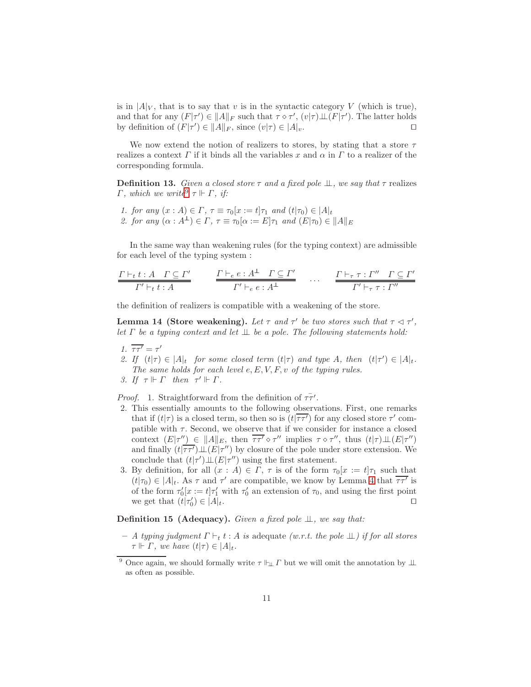is in  $|A|_V$ , that is to say that v is in the syntactic category V (which is true), and that for any  $(F|\tau') \in ||A||_F$  such that  $\tau \circ \tau'$ ,  $(v|\tau) \perp (F|\tau')$ . The latter holds by definition of  $(F|\tau') \in ||A||_F$ , since  $(v|\tau) \in |A|_v$ .

We now extend the notion of realizers to stores, by stating that a store  $\tau$ realizes a context  $\Gamma$  if it binds all the variables x and  $\alpha$  in  $\Gamma$  to a realizer of the corresponding formula.

**Definition 13.** *Given a closed store*  $\tau$  *and a fixed pole*  $\perp$ *l<sub>i</sub>, we say that*  $\tau$  realizes  $\Gamma$ *, which we write*<sup>[9](#page-10-0)</sup>  $\tau \Vdash \Gamma$ *, if:* 

*1. for any*  $(x : A) \in \Gamma$ ,  $\tau \equiv \tau_0[x := t]\tau_1$  *and*  $(t|\tau_0) \in |A|_t$ *2. for any*  $(\alpha : A^{\perp}) \in \Gamma$ ,  $\tau \equiv \tau_0 \, \alpha := E \, \tau_1$  *and*  $(E \, \tau_0) \in \|A\|_E$ 

In the same way than weakening rules (for the typing context) are admissible for each level of the typing system :

$$
\frac{\Gamma\vdash_t t:A\quad \Gamma\subseteq\Gamma'}{\Gamma'\vdash_t t:A}\qquad \qquad \frac{\Gamma\vdash_e e:A^\perp\quad \Gamma\subseteq\Gamma'}{\Gamma'\vdash_e e:A^\perp}\qquad \cdots \qquad \frac{\Gamma\vdash_\tau \tau:\Gamma''\quad \Gamma\subseteq\Gamma'}{\Gamma'\vdash_\tau \tau:\Gamma''}
$$

<span id="page-10-1"></span>the definition of realizers is compatible with a weakening of the store.

**Lemma 14 (Store weakening).** Let  $\tau$  and  $\tau'$  be two stores such that  $\tau \leq \tau'$ , *let*  $\Gamma$  *be a typing context and let*  $\perp \!\!\! \perp$  *be a pole. The following statements hold:* 

- 1.  $\overline{\tau\tau'}=\tau'$
- 2. If  $(t|\tau) \in |A|_t$  *for some closed term*  $(t|\tau)$  *and type A, then*  $(t|\tau') \in |A|_t$ *. The same holds for each level* e, E, V, F, v *of the typing rules.*
- *3.* If  $\tau \Vdash \Gamma$  then  $\tau' \Vdash \Gamma$ .

*Proof.* 1. Straightforward from the definition of  $\tau \overline{\tau'}$ .

- 2. This essentially amounts to the following observations. First, one remarks that if  $(t|\tau)$  is a closed term, so then so is  $(t|\overline{\tau\tau'})$  for any closed store  $\tau'$  compatible with  $\tau$ . Second, we observe that if we consider for instance a closed context  $(E|\tau'') \in ||A||_E$ , then  $\overline{\tau\tau'} \diamond \tau''$  implies  $\tau \diamond \tau''$ , thus  $(t|\tau) \perp (E|\tau'')$ and finally  $(t|\overline{\tau\tau'})\bot (E|\tau'')$  by closure of the pole under store extension. We conclude that  $(t|\tau')\bot (E|\tau'')$  using the first statement.
- 3. By definition, for all  $(x : A) \in \Gamma$ ,  $\tau$  is of the form  $\tau_0[x := t]\tau_1$  such that  $(t|\tau_0) \in |A|_t$ . As  $\tau$  and  $\tau'$  are compatible, we know by Lemma [4](#page-7-0) that  $\overline{\tau\tau'}$  is of the form  $\tau'_0[x := t]\tau'_1$  with  $\tau'_0$  an extension of  $\tau_0$ , and using the first point we get that  $(t|\tau'_0) \in |A|_t$ .

Definition 15 (Adequacy). *Given a fixed pole* ⊥⊥*, we say that:*

 $- A$  *typing judgment*  $\Gamma \vdash_t t : A$  *is* adequate *(w.r.t. the pole*  $\bot\!\!\!\bot$ *) if for all stores*  $\tau \Vdash \Gamma$ , we have  $(t|\tau) \in |A|_t$ .

<span id="page-10-0"></span><sup>&</sup>lt;sup>9</sup> Once again, we should formally write  $\tau \Vdash_{\perp} \Gamma$  but we will omit the annotation by  $\perp\!\!\!\perp$ as often as possible.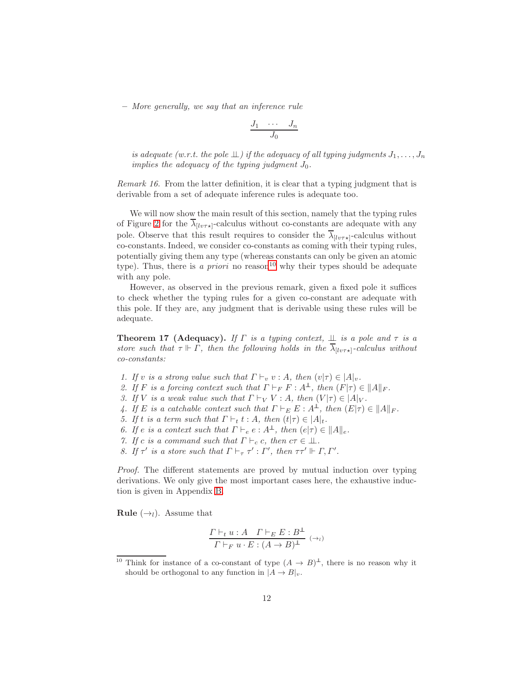– *More generally, we say that an inference rule*

$$
\frac{J_1 \cdots J_n}{J_0}
$$

*is adequate (w.r.t. the pole*  $\perp$ ) *if the adequacy of all typing judgments*  $J_1, \ldots, J_n$ *implies the adequacy of the typing judgment*  $J_0$ *.* 

*Remark 16.* From the latter definition, it is clear that a typing judgment that is derivable from a set of adequate inference rules is adequate too.

We will now show the main result of this section, namely that the typing rules of Figure [2](#page-5-0) for the  $\lambda_{[lv\tau\star]}$ -calculus without co-constants are adequate with any pole. Observe that this result requires to consider the  $\lambda_{[lv\tau\star]}$ -calculus without co-constants. Indeed, we consider co-constants as coming with their typing rules, potentially giving them any type (whereas constants can only be given an atomic type). Thus, there is *a priori* no reason<sup>[10](#page-11-0)</sup> why their types should be adequate with any pole.

However, as observed in the previous remark, given a fixed pole it suffices to check whether the typing rules for a given co-constant are adequate with this pole. If they are, any judgment that is derivable using these rules will be adequate.

**Theorem 17 (Adequacy).** *If*  $\Gamma$  *is a typing context*,  $\perp \!\!\!\perp$  *is a pole and*  $\tau$  *is a store such that*  $\tau \Vdash \Gamma$ , then the following holds in the  $\overline{\lambda}_{[lv\tau\star]}$ -calculus without *co-constants:*

- *1. If* v *is a strong value such that*  $\Gamma \vdash_v v : A$ *, then*  $(v|\tau) \in |A|_v$ *.*
- *2.* If F is a forcing context such that  $\Gamma \vdash_F F : A^\perp$ , then  $(F|\tau) \in \|A\|_F$ .
- *3.* If V is a weak value such that  $\Gamma \vdash_V V : A$ , then  $(V | \tau) \in |A|_V$ *.*
- *4.* If E is a catchable context such that  $\Gamma \vdash_E E : A^\perp$ , then  $(E|\tau) \in \|A\|_F$ .
- *5. If*  $t$  *is a term such that*  $\Gamma \vdash_t t : A$ *, then*  $(t | \tau) \in |A|_t$ *.*
- *6.* If e is a context such that  $\Gamma \vdash_e e : A^\perp$ , then  $(e|\tau) \in \|A\|_e$ .
- *7. If* c *is a command such that*  $\Gamma \vdash_c c$ *, then*  $c\tau \in \bot\bot$ *.*
- *8.* If  $\tau'$  is a store such that  $\Gamma \vdash_{\tau} \tau' : \Gamma'$ , then  $\tau \tau' \Vdash \Gamma, \Gamma'$ .

*Proof.* The different statements are proved by mutual induction over typing derivations. We only give the most important cases here, the exhaustive induction is given in Appendix [B.](#page-20-0)

**Rule**  $(\rightarrow_l)$ . Assume that

$$
\frac{\Gamma\vdash_t u:A \quad \Gamma\vdash_E E:B^\perp}{\Gamma\vdash_F u\cdot E:(A\rightarrow B)^\perp} \;(\rightarrow_l)
$$

<span id="page-11-0"></span><sup>&</sup>lt;sup>10</sup> Think for instance of a co-constant of type  $(A \rightarrow B)^{\perp}$ , there is no reason why it should be orthogonal to any function in  $|A \rightarrow B|_v$ .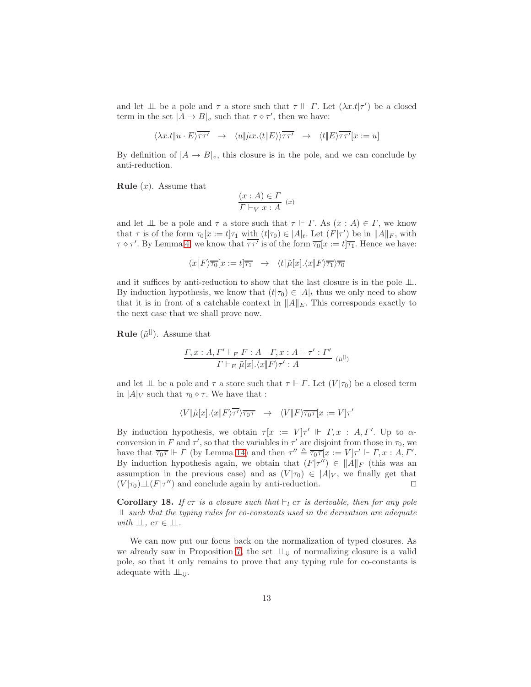and let  $\perp \!\!\! \perp$  be a pole and  $\tau$  a store such that  $\tau \Vdash \Gamma$ . Let  $(\lambda x.t | \tau')$  be a closed term in the set  $|A \to B|_v$  such that  $\tau \circ \tau'$ , then we have:

$$
\langle \lambda x. t | u \cdot E \rangle \overline{\tau \tau'} \rightarrow \langle u | \tilde{\mu} x. \langle t | E \rangle \rangle \overline{\tau \tau'} \rightarrow \langle t | E \rangle \overline{\tau \tau'} [x := u]
$$

By definition of  $|A \rightarrow B|_{v}$ , this closure is in the pole, and we can conclude by anti-reduction.

**Rule**  $(x)$ . Assume that

$$
\frac{(x:A) \in \Gamma}{\Gamma \vdash_V x:A} (x)
$$

and let  $\perp$  be a pole and  $\tau$  a store such that  $\tau \Vdash \Gamma$ . As  $(x : A) \in \Gamma$ , we know that  $\tau$  is of the form  $\tau_0[x := t]\tau_1$  with  $(t|\tau_0) \in |A|_t$ . Let  $(F|\tau')$  be in  $||A||_F$ , with  $\tau \diamond \tau'$ . By Lemma [4,](#page-7-0) we know that  $\overline{\tau \tau'}$  is of the form  $\overline{\tau_0}[x := t] \overline{\tau_1}$ . Hence we have:

$$
\langle x \Vert F \rangle \overline{\tau_0} [x := t] \overline{\tau_1} \rightarrow \langle t \Vert \tilde{\mu}[x]. \langle x \Vert F \rangle \overline{\tau_1} \rangle \overline{\tau_0}
$$

and it suffices by anti-reduction to show that the last closure is in the pole  $\perp$ . By induction hypothesis, we know that  $(t|\tau_0) \in |A|_t$  thus we only need to show that it is in front of a catchable context in  $||A||_E$ . This corresponds exactly to the next case that we shall prove now.

**Rule**  $(\tilde{\mu}^{\parallel})$ . Assume that

$$
\frac{\Gamma, x:A, \Gamma'\vdash_{F} F:A \quad \Gamma, x:A\vdash \tau': \Gamma'}{\Gamma\vdash_{E} \tilde{\mu}[x].\langle x\Vert F\rangle\tau': A} \quad (\tilde{\mu}^{\parallel})
$$

and let  $\perp$  be a pole and  $\tau$  a store such that  $\tau \Vdash \Gamma$ . Let  $(V | \tau_0)$  be a closed term in  $|A|_V$  such that  $\tau_0 \diamond \tau$ . We have that :

$$
\langle V|\!|\tilde{\mu}[x].\langle x|\!|F\rangle\overline{\tau'}\rangle\overline{\tau_0\tau}\ \ \, \rightarrow\ \ \, \langle V|\!|F\rangle\overline{\tau_0\tau}[x:=V]\tau'
$$

By induction hypothesis, we obtain  $\tau[x := V] \tau' \Vdash T, x : A, \Gamma'$ . Up to  $\alpha$ conversion in F and  $\tau'$ , so that the variables in  $\tau'$  are disjoint from those in  $\tau_0$ , we have that  $\overline{\tau_0\tau} \Vdash \Gamma$  (by Lemma [14\)](#page-10-1) and then  $\tau'' \triangleq \overline{\tau_0\tau}[x := V]\tau' \Vdash \Gamma, x : A, \Gamma'.$ By induction hypothesis again, we obtain that  $(F|\tau'') \in ||A||_F$  (this was an assumption in the previous case) and as  $(V|\tau_0) \in |A|_V$ , we finally get that  $(V|\tau_0) \perp (F|\tau'')$  and conclude again by anti-reduction. □

Corollary 18. *If*  $c\tau$  *is a closure such that*  $\vdash_l c\tau$  *is derivable, then for any pole* ⊥⊥ *such that the typing rules for co-constants used in the derivation are adequate with*  $\perp$ *l<sub>i</sub>*,  $c\tau \in \perp$ *l<sub>i</sub>*.

We can now put our focus back on the normalization of typed closures. As we already saw in Proposition [7,](#page-8-1) the set  $\perp\perp$  of normalizing closure is a valid pole, so that it only remains to prove that any typing rule for co-constants is adequate with  $\perp\!\!\!\perp$ <sup>1</sup>.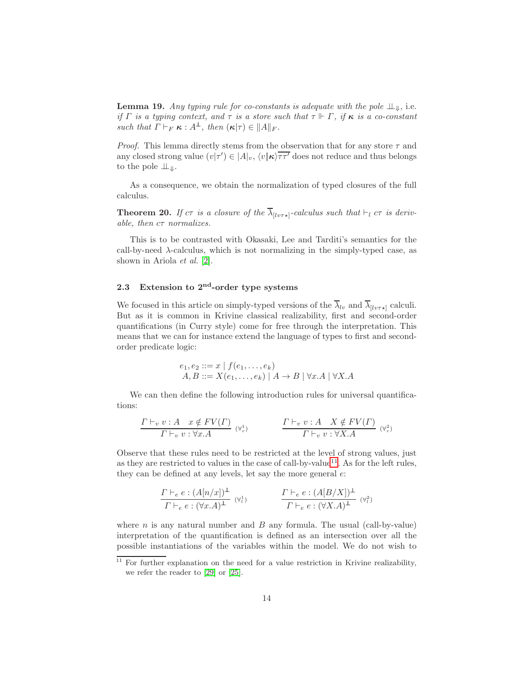**Lemma 19.** Any typing rule for co-constants is adequate with the pole  $\perp\!\!\!\perp$ , i.e. *if*  $\Gamma$  *is a typing context, and*  $\tau$  *is a store such that*  $\tau \Vdash \Gamma$ *, if*  $\kappa$  *is a co-constant such that*  $\Gamma \vdash_F \kappa : A^\perp$ *, then*  $(\kappa|\tau) \in \|A\|_F$ *.* 

*Proof.* This lemma directly stems from the observation that for any store  $\tau$  and any closed strong value  $(v|\tau') \in |A|_v$ ,  $\langle v | \kappa \rangle \overline{\tau \tau'}$  does not reduce and thus belongs to the pole  $\perp\!\!\!\perp$ <sup>1</sup>.

<span id="page-13-1"></span>As a consequence, we obtain the normalization of typed closures of the full calculus.

**Theorem 20.** If  $c\tau$  is a closure of the  $\lambda_{[lv\tau\star]}$ -calculus such that  $\vdash_l c\tau$  is deriv*able, then* cτ *normalizes.*

This is to be contrasted with Okasaki, Lee and Tarditi's semantics for the call-by-need  $\lambda$ -calculus, which is not normalizing in the simply-typed case, as shown in Ariola *et al.* [\[2\]](#page-15-4).

### 2.3 Extension to  $2<sup>nd</sup>$ -order type systems

We focused in this article on simply-typed versions of the  $\overline{\lambda}_{lv}$  and  $\overline{\lambda}_{[lv\tau\star]}$  calculi. But as it is common in Krivine classical realizability, first and second-order quantifications (in Curry style) come for free through the interpretation. This means that we can for instance extend the language of types to first and secondorder predicate logic:

$$
e_1, e_2 ::= x \mid f(e_1, \dots, e_k)
$$
  

$$
A, B ::= X(e_1, \dots, e_k) \mid A \rightarrow B \mid \forall x. A \mid \forall X. A
$$

We can then define the following introduction rules for universal quantifications:

$$
\frac{\Gamma\vdash_v v:A\quad x\notin FV(\Gamma)}{\Gamma\vdash_v v:\forall x.A} \quad (\forall_r^1) \qquad \qquad \frac{\Gamma\vdash_v v:A\quad X\notin FV(\Gamma)}{\Gamma\vdash_v v:\forall X.A} \quad (\forall_r^2)
$$

Observe that these rules need to be restricted at the level of strong values, just as they are restricted to values in the case of call-by-value<sup>[11](#page-13-0)</sup>. As for the left rules, they can be defined at any levels, let say the more general  $e$ .

$$
\frac{\Gamma \vdash_e e : (A[n/x])^{\perp}}{\Gamma \vdash_e e : (\forall x.A)^{\perp}} \quad (\forall_i^1) \qquad \qquad \frac{\Gamma \vdash_e e : (A[B/X])^{\perp}}{\Gamma \vdash_e e : (\forall X.A)^{\perp}} \quad (\forall_i^2)
$$

where  $n$  is any natural number and  $B$  any formula. The usual (call-by-value) interpretation of the quantification is defined as an intersection over all the possible instantiations of the variables within the model. We do not wish to

<span id="page-13-0"></span> $11$  For further explanation on the need for a value restriction in Krivine realizability, we refer the reader to [\[29\]](#page-16-6) or [\[25\]](#page-16-15).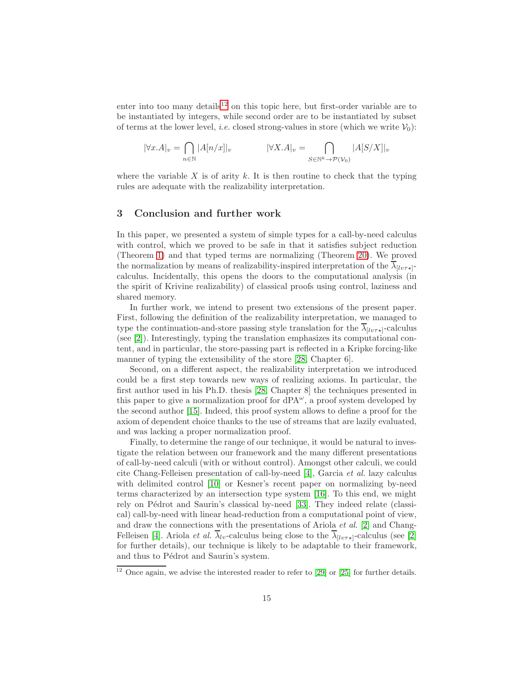enter into too many details<sup>[12](#page-14-0)</sup> on this topic here, but first-order variable are to be instantiated by integers, while second order are to be instantiated by subset of terms at the lower level, *i.e.* closed strong-values in store (which we write  $V_0$ ):

$$
|\forall x.A|_{v} = \bigcap_{n \in \mathbb{N}} |A[n/x]|_{v} \qquad \qquad |\forall X.A|_{v} = \bigcap_{S \in \mathbb{N}^{k} \to \mathcal{P}(\mathcal{V}_{0})} |A[S/X]|_{v}
$$

where the variable X is of arity k. It is then routine to check that the typing rules are adequate with the realizability interpretation.

### 3 Conclusion and further work

In this paper, we presented a system of simple types for a call-by-need calculus with control, which we proved to be safe in that it satisfies subject reduction (Theorem [1\)](#page-5-1) and that typed terms are normalizing (Theorem [20\)](#page-13-1). We proved the normalization by means of realizability-inspired interpretation of the  $\lambda_{[lv\tau\star]}$ calculus. Incidentally, this opens the doors to the computational analysis (in the spirit of Krivine realizability) of classical proofs using control, laziness and shared memory.

In further work, we intend to present two extensions of the present paper. First, following the definition of the realizability interpretation, we managed to type the continuation-and-store passing style translation for the  $\lambda_{[l v \tau \star]}$ -calculus (see [\[2\]](#page-15-4)). Interestingly, typing the translation emphasizes its computational content, and in particular, the store-passing part is reflected in a Kripke forcing-like manner of typing the extensibility of the store [\[28,](#page-16-16) Chapter 6].

Second, on a different aspect, the realizability interpretation we introduced could be a first step towards new ways of realizing axioms. In particular, the first author used in his Ph.D. thesis [\[28,](#page-16-16) Chapter 8] the techniques presented in this paper to give a normalization proof for  $dPA^{\omega}$ , a proof system developed by the second author [\[15\]](#page-15-3). Indeed, this proof system allows to define a proof for the axiom of dependent choice thanks to the use of streams that are lazily evaluated, and was lacking a proper normalization proof.

Finally, to determine the range of our technique, it would be natural to investigate the relation between our framework and the many different presentations of call-by-need calculi (with or without control). Amongst other calculi, we could cite Chang-Felleisen presentation of call-by-need [\[4\]](#page-15-15), Garcia *et al.* lazy calculus with delimited control [\[10\]](#page-15-16) or Kesner's recent paper on normalizing by-need terms characterized by an intersection type system [\[16\]](#page-15-17). To this end, we might rely on Pédrot and Saurin's classical by-need [\[33\]](#page-16-17). They indeed relate (classical) call-by-need with linear head-reduction from a computational point of view, and draw the connections with the presentations of Ariola *et al.* [\[2\]](#page-15-4) and Chang-Felleisen [\[4\]](#page-15-15). Ariola *et al.*  $\lambda_{lv}$ -calculus being close to the  $\lambda_{[lv\tau\star]}$ -calculus (see [\[2\]](#page-15-4) for further details), our technique is likely to be adaptable to their framework, and thus to Pédrot and Saurin's system.

<span id="page-14-0"></span> $\frac{12}{12}$  Once again, we advise the interested reader to refer to [\[29\]](#page-16-6) or [\[25\]](#page-16-15) for further details.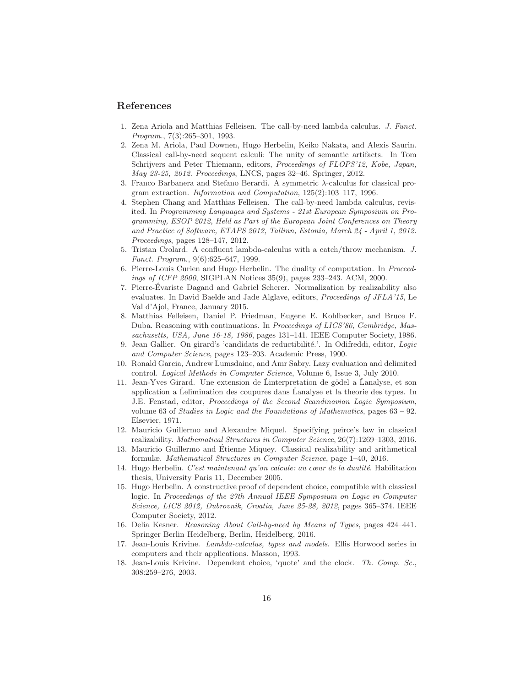### <span id="page-15-10"></span>References

- 1. Zena Ariola and Matthias Felleisen. The call-by-need lambda calculus. J. Funct. Program., 7(3):265–301, 1993.
- <span id="page-15-4"></span>2. Zena M. Ariola, Paul Downen, Hugo Herbelin, Keiko Nakata, and Alexis Saurin. Classical call-by-need sequent calculi: The unity of semantic artifacts. In Tom Schrijvers and Peter Thiemann, editors, Proceedings of FLOPS'12, Kobe, Japan, May 23-25, 2012. Proceedings, LNCS, pages 32–46. Springer, 2012.
- <span id="page-15-2"></span>3. Franco Barbanera and Stefano Berardi. A symmetric λ-calculus for classical program extraction. Information and Computation, 125(2):103–117, 1996.
- <span id="page-15-15"></span>4. Stephen Chang and Matthias Felleisen. The call-by-need lambda calculus, revisited. In Programming Languages and Systems - 21st European Symposium on Programming, ESOP 2012, Held as Part of the European Joint Conferences on Theory and Practice of Software, ETAPS 2012, Tallinn, Estonia, March 24 - April 1, 2012. Proceedings, pages 128–147, 2012.
- <span id="page-15-12"></span>5. Tristan Crolard. A confluent lambda-calculus with a catch/throw mechanism. J. Funct. Program., 9(6):625–647, 1999.
- <span id="page-15-5"></span>6. Pierre-Louis Curien and Hugo Herbelin. The duality of computation. In Proceedings of ICFP 2000, SIGPLAN Notices 35(9), pages 233–243. ACM, 2000.
- <span id="page-15-13"></span>7. Pierre-Evariste Dagand and Gabriel Scherer. Normalization by realizability also evaluates. In David Baelde and Jade Alglave, editors, *Proceedings of JFLA*'15, Le Val d'Ajol, France, January 2015.
- <span id="page-15-11"></span>8. Matthias Felleisen, Daniel P. Friedman, Eugene E. Kohlbecker, and Bruce F. Duba. Reasoning with continuations. In Proceedings of LICS'86, Cambridge, Massachusetts, USA, June 16-18, 1986, pages 131–141. IEEE Computer Society, 1986.
- <span id="page-15-1"></span>9. Jean Gallier. On girard's 'candidats de reductibilité.'. In Odifreddi, editor, Logic and Computer Science, pages 123–203. Academic Press, 1900.
- <span id="page-15-16"></span>10. Ronald Garcia, Andrew Lumsdaine, and Amr Sabry. Lazy evaluation and delimited control. Logical Methods in Computer Science, Volume 6, Issue 3, July 2010.
- <span id="page-15-0"></span>11. Jean-Yves Girard. Une extension de Linterpretation de gödel a Lanalyse, et son application a Lelimination des coupures dans Lanalyse et la theorie des types. In J.E. Fenstad, editor, Proceedings of the Second Scandinavian Logic Symposium, volume 63 of Studies in Logic and the Foundations of Mathematics, pages  $63 - 92$ . Elsevier, 1971.
- <span id="page-15-7"></span>12. Mauricio Guillermo and Alexandre Miquel. Specifying peirce's law in classical realizability. Mathematical Structures in Computer Science, 26(7):1269–1303, 2016.
- <span id="page-15-8"></span>13. Mauricio Guillermo and Etienne Miquey. Classical realizability and arithmetical ´ formulæ. Mathematical Structures in Computer Science, page 1–40, 2016.
- <span id="page-15-6"></span>14. Hugo Herbelin. C'est maintenant qu'on calcule: au cœur de la dualité. Habilitation thesis, University Paris 11, December 2005.
- <span id="page-15-3"></span>15. Hugo Herbelin. A constructive proof of dependent choice, compatible with classical logic. In Proceedings of the 27th Annual IEEE Symposium on Logic in Computer Science, LICS 2012, Dubrovnik, Croatia, June 25-28, 2012, pages 365–374. IEEE Computer Society, 2012.
- <span id="page-15-17"></span>16. Delia Kesner. Reasoning About Call-by-need by Means of Types, pages 424–441. Springer Berlin Heidelberg, Berlin, Heidelberg, 2016.
- <span id="page-15-14"></span>17. Jean-Louis Krivine. Lambda-calculus, types and models. Ellis Horwood series in computers and their applications. Masson, 1993.
- <span id="page-15-9"></span>18. Jean-Louis Krivine. Dependent choice, 'quote' and the clock. Th. Comp. Sc., 308:259–276, 2003.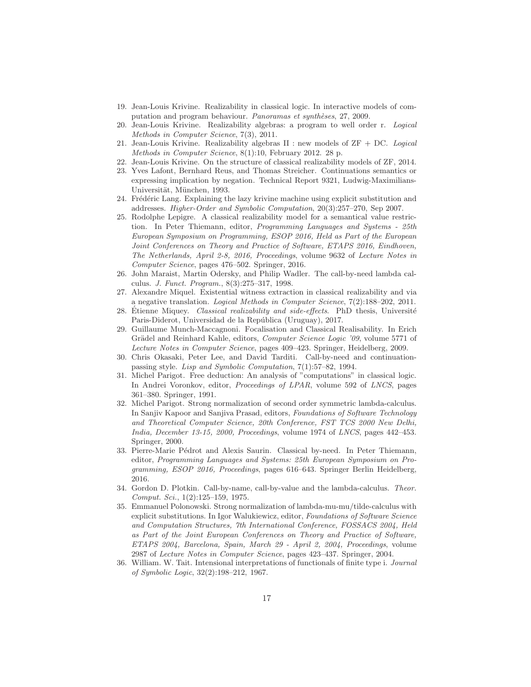- <span id="page-16-3"></span><span id="page-16-2"></span>19. Jean-Louis Krivine. Realizability in classical logic. In interactive models of computation and program behaviour. Panoramas et synthèses, 27, 2009.
- 20. Jean-Louis Krivine. Realizability algebras: a program to well order r. Logical Methods in Computer Science, 7(3), 2011.
- <span id="page-16-4"></span>21. Jean-Louis Krivine. Realizability algebras  $II$ : new models of  $ZF + DC$ . Logical Methods in Computer Science, 8(1):10, February 2012. 28 p.
- <span id="page-16-12"></span><span id="page-16-5"></span>22. Jean-Louis Krivine. On the structure of classical realizability models of ZF, 2014.
- 23. Yves Lafont, Bernhard Reus, and Thomas Streicher. Continuations semantics or expressing implication by negation. Technical Report 9321, Ludwig-Maximilians-Universität, München, 1993.
- <span id="page-16-14"></span>24. Frédéric Lang. Explaining the lazy krivine machine using explicit substitution and addresses. Higher-Order and Symbolic Computation, 20(3):257–270, Sep 2007.
- <span id="page-16-15"></span>25. Rodolphe Lepigre. A classical realizability model for a semantical value restriction. In Peter Thiemann, editor, Programming Languages and Systems - 25th European Symposium on Programming, ESOP 2016, Held as Part of the European Joint Conferences on Theory and Practice of Software, ETAPS 2016, Eindhoven, The Netherlands, April 2-8, 2016, Proceedings, volume 9632 of Lecture Notes in Computer Science, pages 476–502. Springer, 2016.
- <span id="page-16-10"></span>26. John Maraist, Martin Odersky, and Philip Wadler. The call-by-need lambda calculus. J. Funct. Program., 8(3):275–317, 1998.
- <span id="page-16-7"></span>27. Alexandre Miquel. Existential witness extraction in classical realizability and via a negative translation. Logical Methods in Computer Science, 7(2):188–202, 2011.
- <span id="page-16-16"></span>28. Etienne Miquey. *Classical realizability and side-effects*. PhD thesis, Université Paris-Diderot, Universidad de la República (Uruguay), 2017.
- <span id="page-16-6"></span>29. Guillaume Munch-Maccagnoni. Focalisation and Classical Realisability. In Erich Grädel and Reinhard Kahle, editors, Computer Science Logic '09, volume 5771 of Lecture Notes in Computer Science, pages 409–423. Springer, Heidelberg, 2009.
- <span id="page-16-11"></span>30. Chris Okasaki, Peter Lee, and David Tarditi. Call-by-need and continuationpassing style. Lisp and Symbolic Computation, 7(1):57–82, 1994.
- <span id="page-16-13"></span>31. Michel Parigot. Free deduction: An analysis of "computations" in classical logic. In Andrei Voronkov, editor, Proceedings of LPAR, volume 592 of LNCS, pages 361–380. Springer, 1991.
- <span id="page-16-1"></span>32. Michel Parigot. Strong normalization of second order symmetric lambda-calculus. In Sanjiv Kapoor and Sanjiva Prasad, editors, Foundations of Software Technology and Theoretical Computer Science, 20th Conference, FST TCS 2000 New Delhi, India, December 13-15, 2000, Proceedings, volume 1974 of LNCS, pages 442–453. Springer, 2000.
- <span id="page-16-17"></span>33. Pierre-Marie Pédrot and Alexis Saurin. Classical by-need. In Peter Thiemann, editor, Programming Languages and Systems: 25th European Symposium on Programming, ESOP 2016, Proceedings, pages 616–643. Springer Berlin Heidelberg, 2016.
- <span id="page-16-9"></span>34. Gordon D. Plotkin. Call-by-name, call-by-value and the lambda-calculus. Theor. Comput. Sci., 1(2):125–159, 1975.
- <span id="page-16-8"></span>35. Emmanuel Polonowski. Strong normalization of lambda-mu-mu/tilde-calculus with explicit substitutions. In Igor Walukiewicz, editor, Foundations of Software Science and Computation Structures, 7th International Conference, FOSSACS 2004, Held as Part of the Joint European Conferences on Theory and Practice of Software, ETAPS 2004, Barcelona, Spain, March 29 - April 2, 2004, Proceedings, volume 2987 of Lecture Notes in Computer Science, pages 423–437. Springer, 2004.
- <span id="page-16-0"></span>36. William. W. Tait. Intensional interpretations of functionals of finite type i. Journal of Symbolic Logic, 32(2):198–212, 1967.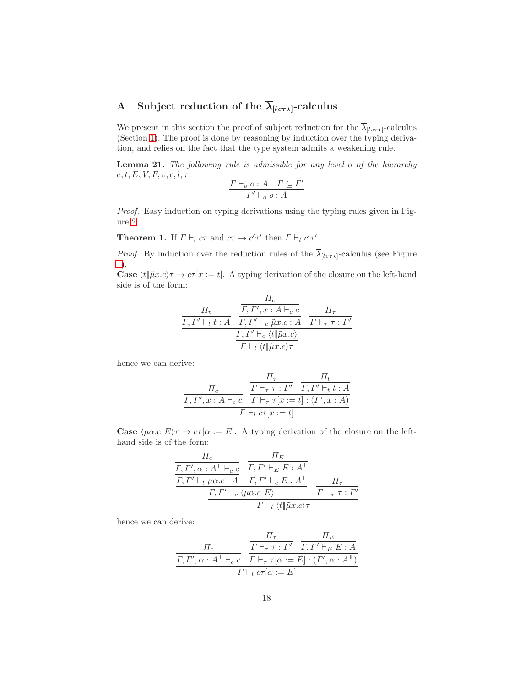## <span id="page-17-0"></span>A Subject reduction of the  $\overline{\lambda}_{[lv\tau\star]}$ -calculus

We present in this section the proof of subject reduction for the  $\lambda_{[l v \tau \star]}$ -calculus (Section [1\)](#page-2-1). The proof is done by reasoning by induction over the typing derivation, and relies on the fact that the type system admits a weakening rule.

<span id="page-17-1"></span>Lemma 21. *The following rule is admissible for any level* o *of the hierarchy*  $e, t, E, V, F, v, c, l, \tau$ *:* 

$$
\frac{\Gamma\vdash_o o:A\quad \Gamma\subseteq\Gamma'}{\Gamma'\vdash_o o:A}
$$

*Proof.* Easy induction on typing derivations using the typing rules given in Figure [2.](#page-5-0)

**Theorem 1.** If  $\Gamma \vdash_l c\tau$  and  $c\tau \to c'\tau'$  then  $\Gamma \vdash_l c'\tau'$ .

*Proof.* By induction over the reduction rules of the  $\lambda_{[lv\tau\star]}$ -calculus (see Figure [1\)](#page-4-0).

**Case**  $\langle t | \tilde{\mu}x.c \rangle \tau \to c\tau[x := t]$ . A typing derivation of the closure on the left-hand side is of the form:

$$
\frac{\Pi_{c}}{\frac{\Gamma, \Gamma' \vdash_{t} t : A}{\Gamma, \Gamma' \vdash_{e} \tilde{\mu} x.c : A}} \frac{\frac{\Pi_{c}}{\Gamma, \Gamma' \vdash_{e} \tilde{\mu} x.c : A}}{\frac{\Gamma, \Gamma' \vdash_{c} \langle t | \tilde{\mu} x.c \rangle}{\Gamma \vdash_{l} \langle t | \tilde{\mu} x.c \rangle \tau}}
$$

hence we can derive:

$$
\frac{\Pi_{\tau}}{\Gamma, \Gamma', x:A\vdash_{c} c} \frac{\frac{\Pi_{\tau}}{\Gamma \vdash_{\tau} \tau : \Gamma'} \frac{\Pi_{t}}{\Gamma, \Gamma' \vdash_{t} t : A}}{\frac{\Gamma \vdash_{\tau} \tau[x:=t] : (\Gamma', x:A)}{\Gamma \vdash_{l} c\tau[x:=t]}}
$$

**Case**  $\langle \mu \alpha.c|E \rangle \tau \to c\tau[\alpha := E]$ . A typing derivation of the closure on the lefthand side is of the form:

$$
\frac{\Pi_c}{\Gamma, \Gamma', \alpha : A^{\perp} \vdash_c c} \quad \frac{\Pi_E}{\Gamma, \Gamma' \vdash_E E : A^{\perp}}
$$
\n
$$
\frac{\Gamma, \Gamma' \vdash_t \mu \alpha. c : A}{\Gamma, \Gamma' \vdash_c \langle \mu \alpha. c | E \rangle} \quad \frac{\Pi_\tau}{\Gamma \vdash_\tau \tau : \Gamma'}
$$
\n
$$
\frac{\Gamma, \Gamma' \vdash_c \langle \mu \alpha. c | E \rangle}{\Gamma \vdash_\tau \langle t | \mu x. c \rangle \tau}
$$

hence we can derive:

$$
\frac{\Pi_{\tau}}{\Gamma, \Gamma', \alpha : A^{\perp} \vdash_{c} c} \frac{\frac{\Pi_{\tau}}{\Gamma \vdash_{\tau} \tau : \Gamma'} \frac{\Pi_{E}}{\Gamma, \Gamma' \vdash_{E} E : A}}{\frac{\Gamma \vdash_{\tau} \tau [\alpha := E] : (\Gamma', \alpha : A^{\perp})}{\Gamma \vdash_{l} c\tau [\alpha := E]}}
$$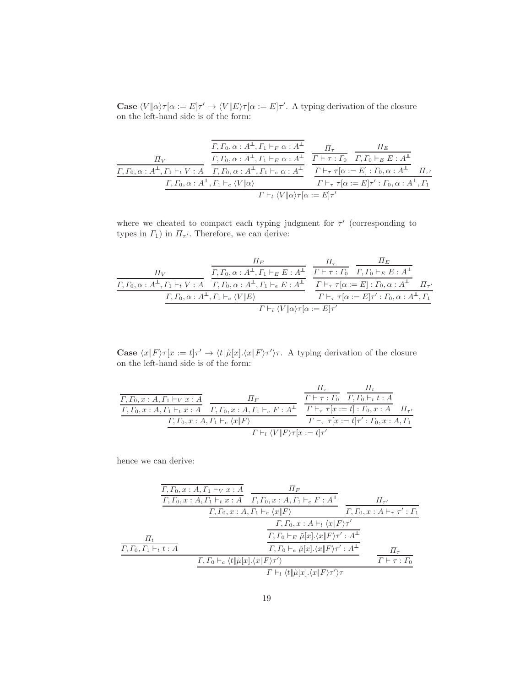**Case**  $\langle V | \alpha \rangle \tau [\alpha := E] \tau' \to \langle V | E \rangle \tau [\alpha := E] \tau'.$  A typing derivation of the closure on the left-hand side is of the form:

$$
\frac{\Pi_{V}}{\Gamma, \Gamma_{0}, \alpha : A^{\perp}, \Gamma_{1} \vdash_{F} \alpha : A^{\perp}} \quad \frac{\Pi_{\tau}}{\Gamma, \Gamma_{0}, \alpha : A^{\perp}, \Gamma_{1} \vdash_{E} \alpha : A^{\perp}} \quad \frac{\Pi_{\tau}}{\Gamma \vdash \tau : \Gamma_{0}} \quad \frac{\Pi_{E}}{\Gamma, \Gamma_{0} \vdash_{E} E : A^{\perp}}}{\frac{\Gamma \vdash \tau, \Gamma_{0}, \alpha : A^{\perp}, \Gamma_{1} \vdash_{e} \alpha : A^{\perp}}{\Gamma \vdash_{\tau} \tau [\alpha := E] : \Gamma_{0}, \alpha : A^{\perp}} \quad \frac{\Pi_{F}}{\Gamma \vdash_{\tau} \tau [\alpha := E] : \Gamma_{0}, \alpha : A^{\perp}}}{\frac{\Gamma \vdash_{\tau} \tau [\alpha := E] \cdot \Gamma_{0}, \alpha : A^{\perp}}{\Gamma \vdash_{\tau} \tau [\alpha := E] \tau' : \Gamma_{0}, \alpha : A^{\perp}, \Gamma_{1}}}
$$

where we cheated to compact each typing judgment for  $\tau'$  (corresponding to types in  $\Gamma_1$ ) in  $\Pi_{\tau'}$ . Therefore, we can derive:

$$
\frac{\Pi_{E}}{\Gamma, \Gamma_{0}, \alpha : A^{\perp}, \Gamma_{1} \vdash_{t} V : A} \quad \frac{\Pi_{E}}{\Gamma, \Gamma_{0}, \alpha : A^{\perp}, \Gamma_{1} \vdash_{E} E : A^{\perp}} \quad \frac{\Pi_{\tau}}{\Gamma \vdash \tau : \Gamma_{0}} \quad \frac{\Pi_{E}}{\Gamma, \Gamma_{0} \vdash_{E} E : A^{\perp}}}{\frac{\Gamma \vdash \tau \tau \Gamma_{0}}{\Gamma, \Gamma_{0}, \alpha : A^{\perp}, \Gamma_{1} \vdash_{c} \langle V \Vert E \rangle}} \quad \frac{\Pi_{\tau}}{\Gamma \vdash_{\tau} \tau [\alpha := E] : \Gamma_{0}, \alpha : A^{\perp}} \quad \frac{\Pi_{E}}{\Gamma \vdash_{\tau} \tau [\alpha := E] \cdot \Gamma_{0}, \alpha : A^{\perp}}}{\frac{\Gamma \vdash_{\tau} \tau [\alpha := E] \tau' : \Gamma_{0}, \alpha : A^{\perp}, \Gamma_{1}}{\Gamma \vdash_{\tau} \langle V \Vert \alpha \rangle \tau [\alpha := E] \tau'}}
$$

**Case**  $\langle x|F \rangle \tau[x := t] \tau' \to \langle t | \tilde{\mu}[x] \cdot \langle x | F \rangle \tau' \rangle \tau$ . A typing derivation of the closure on the left-hand side is of the form:

$$
\frac{\frac{\Pi_{\tau}}{\Gamma, \Gamma_{0}, x:A, \Gamma_{1} \vdash_{V} x:A}{\frac{\Gamma, \Gamma_{0}, x:A, \Gamma_{1} \vdash_{t} x:A}{\Gamma, \Gamma_{0}, x:A, \Gamma_{1} \vdash_{c} \langle x \mid F \rangle}} \frac{\frac{\Pi_{\tau}}{\Gamma \vdash \tau : \Gamma_{0}}}{\frac{\Gamma \vdash \tau : \Gamma_{0}}{\Gamma \vdash_{\tau} \tau[x:=t] : \Gamma_{0}, x:A}{\frac{\Gamma, \Gamma_{0}, x:A, \Gamma_{1} \vdash_{c} \langle x \mid F \rangle}{\Gamma \vdash_{\tau} \langle V \mid F \rangle \tau[x:=t] \tau' : \Gamma_{0}, x:A, \Gamma_{1}}}
$$
\n
$$
\frac{\Pi_{\tau}}{\Gamma \vdash_{\tau} \tau[x:=t] \cdot \Gamma_{0}, x:A, \Gamma_{1}}}{\Gamma \vdash_{t} \langle V \mid F \rangle \tau[x:=t] \cdot \tau'}
$$

hence we can derive:

$$
\frac{\overline{\Gamma, \Gamma_{0}, x : A, \Gamma_{1} \vdash_{v} x : A}}{\frac{\Gamma, \Gamma_{0}, x : A, \Gamma_{1} \vdash_{t} x : A}{\Gamma, \Gamma_{0}, x : A, \Gamma_{1} \vdash_{c} \langle x \Vert F \rangle}} \frac{\Pi_{F}}{\Gamma, \Gamma_{0}, x : A, \Gamma_{1} \vdash_{c} \langle x \Vert F \rangle} \frac{\Pi_{\tau'}}{\Gamma, \Gamma_{0}, x : A \vdash_{\tau} \tau' : \Gamma_{1}}}{\frac{\Gamma, \Gamma_{0}, x : A \vdash_{t} \langle x \Vert F \rangle \tau'}{\Gamma, \Gamma_{0} \vdash_{E} \tilde{\mu}[x].\langle x \Vert F \rangle \tau' : A^{\perp}}
$$
\n
$$
\frac{\Pi_{t}}{\Gamma, \Gamma_{0} \vdash_{t} \tilde{\mu}[x].\langle x \Vert F \rangle \tau' : A^{\perp}}}{\frac{\Gamma, \Gamma_{0} \vdash_{e} \tilde{\mu}[x].\langle x \Vert F \rangle \tau' : A^{\perp}}{\Gamma, \Gamma_{0} \vdash_{e} \tilde{\mu}[x].\langle x \Vert F \rangle \tau' : A^{\perp}} \frac{\Pi_{\tau}}{\Gamma \vdash \tau : \Gamma_{0}}}{\frac{\Gamma \vdash \tau : \Gamma_{0}}{\Gamma \vdash_{\tau} \langle t \Vert \tilde{\mu}[x].\langle x \Vert F \rangle \tau' \rangle \tau}}
$$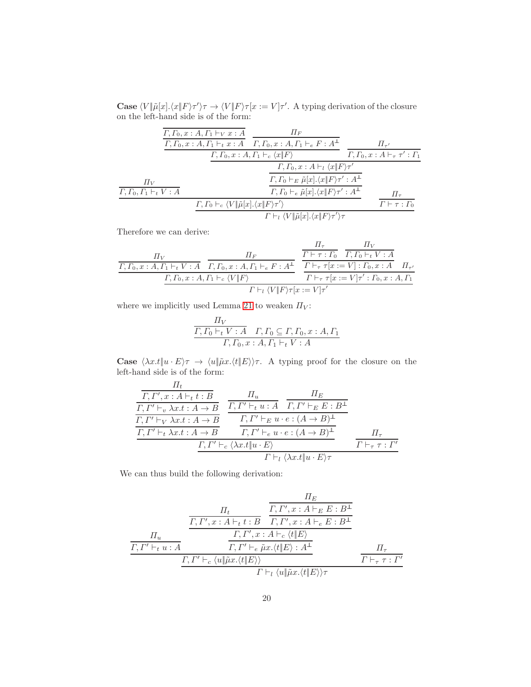**Case**  $\langle V|\tilde{\mu}[x].\langle x|F\rangle\tau'\rangle\tau \to \langle V|F\rangle\tau[x := V]\tau'.$  A typing derivation of the closure on the left-hand side is of the form:

$$
\frac{\frac{\Gamma, \Gamma_0, x:A, \Gamma_1 \vdash_V x:A}{\Gamma, \Gamma_0, x:A, \Gamma_1 \vdash_t x:A} \frac{\Pi_F}{\Gamma, \Gamma_0, x:A, \Gamma_1 \vdash_e F:A^{\perp}}}{\frac{\Gamma, \Gamma_0, x:A, \Gamma_1 \vdash_e \langle x \Vert F \rangle}{\Gamma, \Gamma_0, x:A, \Gamma_1 \vdash_e \langle x \Vert F \rangle} \frac{\Pi_V}{\Gamma, \Gamma_0, x:A \vdash_t \langle x \Vert F \rangle \tau'}
$$
\n
$$
\frac{\frac{\Gamma, \Gamma_0, \Gamma_1 \vdash_V \langle x \Vert F \rangle}{\Gamma, \Gamma_0 \vdash_E \tilde{\mu}[x].\langle x \Vert F \rangle \tau': A^{\perp}}}{\Gamma, \Gamma_0 \vdash_e \tilde{\mu}[x].\langle x \Vert F \rangle \tau': A^{\perp}}
$$
\n
$$
\frac{\Gamma, \Gamma_0 \vdash_e \langle V \Vert \tilde{\mu}[x].\langle x \Vert F \rangle \tau'\rangle}{\Gamma \vdash_t \langle V \Vert \tilde{\mu}[x].\langle x \Vert F \rangle \tau'\rangle \tau}
$$

Therefore we can derive:

$$
\frac{\Pi_{V}}{\Gamma, \Gamma_{0}, x:A, \Gamma_{1} \vdash_{t} V:A} \xrightarrow[\Gamma, \Gamma_{0}, x:A, \Gamma_{1} \vdash_{e} F:A]^{\bot} \frac{\Gamma \vdash \tau : \Gamma_{0}}{\Gamma \vdash_{\tau} \tau[x:=V] : \Gamma_{0}, x:A} \frac{\Gamma, \Gamma_{0}, x:A, \Gamma_{1} \vdash_{e} F:A^{\bot}}{\Gamma \vdash_{\tau} \tau[x:=V] : \Gamma_{0}, x:A, \Gamma_{1}} \frac{\Gamma, \Gamma_{0}, x:A, \Gamma_{1} \vdash_{e} \langle V \Vert F \rangle}{\Gamma \vdash_{\tau} \langle V \Vert F \rangle \tau[x:=V] \tau'} \frac{\Pi_{V}}{\Gamma \vdash_{\tau} \tau[x:=V] \tau' : \Gamma_{0}, x:A, \Gamma_{1}} \frac{\Pi_{V}}{\Gamma \vdash_{\tau} \langle V \Vert F \rangle \tau[x:=V] \tau'} \frac{\Pi_{V}}{\Gamma \vdash_{\tau} \tau[x:=V] \tau' : \Gamma_{0}, x:A, \Gamma_{1}} \frac{\Pi_{V}}{\Gamma \vdash_{\tau} \langle V \Vert F \rangle \tau[x:=V] \tau'} \frac{\Pi_{V}}{\Gamma \vdash_{\tau} \tau[x:=V] \tau' : \Gamma_{0}, x:A, \Gamma_{1}} \frac{\Pi_{V}}{\Gamma \vdash_{\tau} \langle V \Vert F \rangle \tau[x:=V] \tau'} \frac{\Pi_{V}}{\Gamma \vdash_{\tau} \langle V \Vert F \rangle \tau[x:=V] \tau' : \Gamma_{0}, x:A, \Gamma_{1}} \frac{\Pi_{V}}{\Gamma \vdash_{\tau} \langle V \Vert F \rangle \tau[x:=V] \tau' : \Gamma_{0}, x:A, \Gamma_{1} \vdash_{\tau} \langle V \Vert F \rangle \tau''}
$$

where we implicitly used Lemma [21](#page-17-1) to weaken  $\Pi_V$ :

$$
\frac{\Pi_V}{\Gamma, \Gamma_0 \vdash_t V : A} \quad \Gamma, \Gamma_0 \subseteq \Gamma, \Gamma_0, x : A, \Gamma_1
$$

$$
\Gamma, \Gamma_0, x : A, \Gamma_1 \vdash_t V : A
$$

**Case**  $\langle \lambda x. t | u \cdot E \rangle \tau \rightarrow \langle u | \tilde{\mu}x. \langle t | E \rangle \rangle \tau$ . A typing proof for the closure on the left-hand side is of the form:

$$
\frac{\Pi_t}{\Gamma, \Gamma', x:A\vdash_t t:B} \quad \frac{\Pi_u}{\Gamma, \Gamma'\vdash_v \lambda x.t:A\to B} \quad \frac{\Pi_u}{\Gamma, \Gamma'\vdash_t u:A} \quad \frac{\Pi_E}{\Gamma, \Gamma'\vdash_E E:B^\perp}
$$
\n
$$
\frac{\overline{\Gamma}, \Gamma'\vdash_V \lambda x.t:A\to B}{\Gamma, \Gamma'\vdash_t \lambda x.t:A\to B} \quad \frac{\Gamma, \Gamma'\vdash_E u\cdot e:(A\to B)^\perp}{\Gamma, \Gamma'\vdash_e u\cdot e:(A\to B)^\perp}
$$
\n
$$
\frac{\Gamma, \Gamma'\vdash_c \langle \lambda x.t \|u\cdot E \rangle}{\Gamma\vdash_t \langle \lambda x.t \|u\cdot E \rangle \tau} \quad \frac{\Pi_\tau}{\Gamma\vdash_\tau \tau: \Gamma'}
$$

We can thus build the following derivation:

$$
\frac{\Pi_{E}}{\frac{\Gamma, \Gamma', x:A\vdash_{E}E:B^{\perp}}{\Gamma, \Gamma', x:A\vdash_{E}E:B^{\perp}}}
$$
\n
$$
\frac{\Pi_{u}}{\frac{\Gamma, \Gamma', x:A\vdash_{c}\langle t|E\rangle}{\Gamma, \Gamma', x:A\vdash_{c}\langle t|E\rangle}}
$$
\n
$$
\frac{\frac{\Gamma, \Gamma'\vdash_{t}u:A}{\Gamma, \Gamma'\vdash_{c}\tilde{\mu}x.\langle t|E\rangle:A^{\perp}}}{\frac{\Gamma, \Gamma'\vdash_{c}\langle u|\tilde{\mu}x.\langle t|E\rangle}{\Gamma\vdash_{l}\langle u|\tilde{\mu}x.\langle t|E\rangle\rangle\tau}}
$$
\n
$$
\frac{\Pi_{\tau}}{\Gamma\vdash_{\tau}\tau:I'}
$$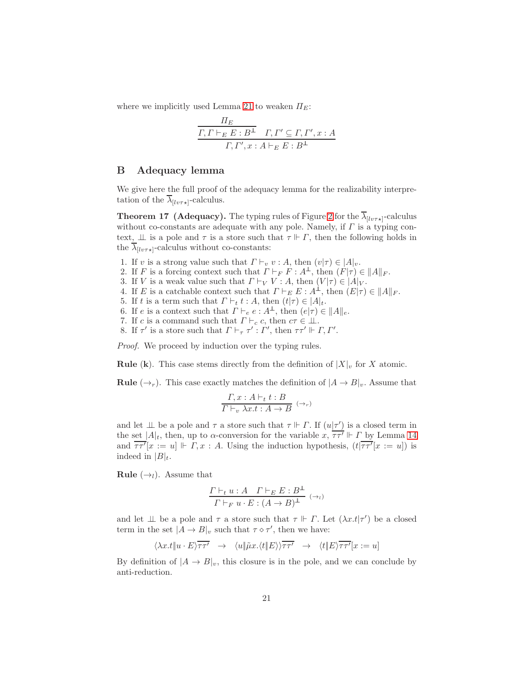where we implicitly used Lemma [21](#page-17-1) to weaken  $\Pi_E$ :

$$
\frac{\Pi_E}{\Gamma, \Gamma \vdash_E E : B^{\perp} \quad \Gamma, \Gamma' \subseteq \Gamma, \Gamma', x : A}
$$

$$
\Gamma, \Gamma', x : A \vdash_E E : B^{\perp}
$$

### <span id="page-20-0"></span>B Adequacy lemma

We give here the full proof of the adequacy lemma for the realizability interpretation of the  $\lambda_{[lv\tau\star]}$ -calculus.

**Theorem 17 (Adequacy).** The typing rules of Figure [2](#page-5-0) for the  $\lambda_{[lv\tau\star]}$ -calculus without co-constants are adequate with any pole. Namely, if  $\Gamma$  is a typing context,  $\perp \!\!\! \perp$  is a pole and  $\tau$  is a store such that  $\tau \Vdash \Gamma$ , then the following holds in the  $\lambda_{[lv\tau\star]}$ -calculus without co-constants:

- 1. If v is a strong value such that  $\Gamma \vdash_v v : A$ , then  $(v|\tau) \in |A|_v$ .
- 2. If F is a forcing context such that  $\Gamma \vdash_F F : A^\perp$ , then  $(F|\tau) \in \|A\|_F$ .
- 3. If V is a weak value such that  $\Gamma \vdash_V V : A$ , then  $(V | \tau) \in |A|_V$ .
- 4. If E is a catchable context such that  $\Gamma \vdash_E E : A^{\perp}$ , then  $(E|\tau) \in ||A||_F$ .
- 5. If t is a term such that  $\Gamma \vdash_t t : A$ , then  $(t|\tau) \in |A|_t$ .
- 6. If e is a context such that  $\Gamma \vdash_e e : A^{\perp}$ , then  $(e|\tau) \in ||A||_e$ .
- 7. If c is a command such that  $\Gamma \vdash_c c$ , then  $c\tau \in \bot\bot$ .
- 8. If  $\tau'$  is a store such that  $\Gamma \vdash_{\tau} \tau' : \Gamma'$ , then  $\tau \tau' \Vdash \Gamma, \Gamma'$ .

*Proof.* We proceed by induction over the typing rules.

**Rule** (k). This case stems directly from the definition of  $|X|_v$  for X atomic.

**Rule**  $(\rightarrow_r)$ . This case exactly matches the definition of  $|A \rightarrow B|_v$ . Assume that

$$
\frac{\Gamma, x:A\vdash_t t:B}{\Gamma\vdash_v \lambda x.t:A\to B} \;(\to_r)
$$

and let  $\perp$  be a pole and  $\tau$  a store such that  $\tau \Vdash \Gamma$ . If  $(u|\tau')$  is a closed term in the set  $|A|_t$ , then, up to  $\alpha$ -conversion for the variable  $x, \overline{\tau\tau'} \Vdash \Gamma$  by Lemma [14](#page-10-1) and  $\overline{\tau\tau'}[x := u] \Vdash \Gamma, x : A$ . Using the induction hypothesis,  $(t|\overline{\tau\tau'}[x := u])$  is indeed in  $|B|_t$ .

**Rule**  $(\rightarrow_l)$ . Assume that

$$
\frac{\Gamma\vdash_t u:A\quad \Gamma\vdash_E E:B^\perp}{\Gamma\vdash_F u\cdot E:(A\rightarrow B)^\perp}\,\,( \rightarrow_l)
$$

and let  $\perp$  be a pole and  $\tau$  a store such that  $\tau \Vdash \Gamma$ . Let  $(\lambda x.t | \tau')$  be a closed term in the set  $|A \to B|_v$  such that  $\tau \circ \tau'$ , then we have:

$$
\langle \lambda x. t \Vert u \cdot E \rangle \overline{\tau \tau'} \quad \rightarrow \quad \langle u \Vert \tilde{\mu} x. \langle t \Vert E \rangle \rangle \overline{\tau \tau'} \quad \rightarrow \quad \langle t \Vert E \rangle \overline{\tau \tau'} [x := u]
$$

By definition of  $|A \rightarrow B|_{v}$ , this closure is in the pole, and we can conclude by anti-reduction.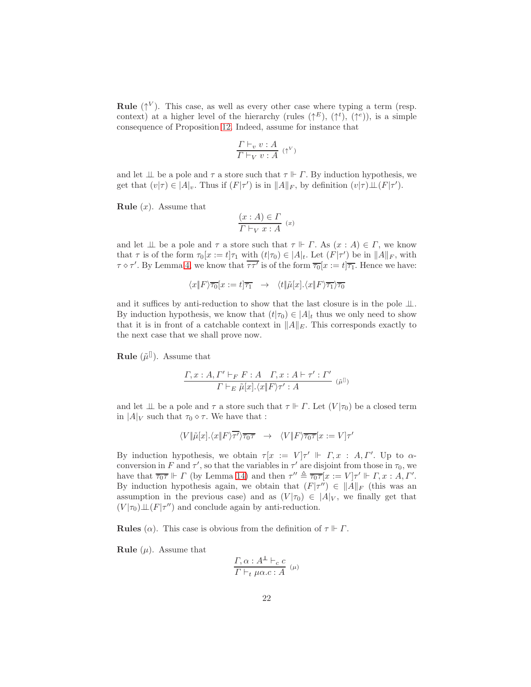**Rule**  $({\uparrow}^V)$ . This case, as well as every other case where typing a term (resp. context) at a higher level of the hierarchy (rules  $(\uparrow^E)$ ,  $(\uparrow^t)$ ,  $(\uparrow^e)$ ), is a simple consequence of Proposition [12.](#page-9-0) Indeed, assume for instance that

$$
\frac{\Gamma\vdash_v v:A}{\Gamma\vdash_V v:A} \,\,(\uparrow^V)
$$

and let  $\perp$  be a pole and  $\tau$  a store such that  $\tau \Vdash \Gamma$ . By induction hypothesis, we get that  $(v|\tau) \in |A|_v$ . Thus if  $(F|\tau')$  is in  $||A||_F$ , by definition  $(v|\tau) \perp (F|\tau')$ .

**Rule**  $(x)$ . Assume that

$$
\frac{(x:A) \in \Gamma}{\Gamma \vdash_V x:A} \; (x)
$$

and let  $\perp \!\!\! \perp$  be a pole and  $\tau$  a store such that  $\tau \Vdash \Gamma$ . As  $(x : A) \in \Gamma$ , we know that  $\tau$  is of the form  $\tau_0[x := t]\tau_1$  with  $(t|\tau_0) \in |A|_t$ . Let  $(F|\tau')$  be in  $||A||_F$ , with  $\tau \diamond \tau'$ . By Lemma [4,](#page-7-0) we know that  $\overline{\tau \tau'}$  is of the form  $\overline{\tau_0}[x := t] \overline{\tau_1}$ . Hence we have:

$$
\langle x \Vert F \rangle \overline{\tau_0} [x := t] \overline{\tau_1} \rightarrow \langle t \Vert \tilde{\mu}[x] \cdot \langle x \Vert F \rangle \overline{\tau_1} \rangle \overline{\tau_0}
$$

and it suffices by anti-reduction to show that the last closure is in the pole  $\perp$ . By induction hypothesis, we know that  $(t|\tau_0) \in |A|_t$  thus we only need to show that it is in front of a catchable context in  $||A||_E$ . This corresponds exactly to the next case that we shall prove now.

**Rule**  $(\tilde{\mu}^{\parallel})$ . Assume that

$$
\frac{\Gamma, x:A, \Gamma'\vdash_{F} F:A \quad \Gamma, x:A\vdash \tau': \Gamma'}{\Gamma\vdash_{E}\tilde{\mu}[x].\langle x\Vert F\rangle\tau': A} \quad (\tilde{\mu}^{\parallel})
$$

and let  $\perp$  be a pole and  $\tau$  a store such that  $\tau \Vdash \Gamma$ . Let  $(V | \tau_0)$  be a closed term in  $|A|_V$  such that  $\tau_0 \diamond \tau$ . We have that :

$$
\langle V | \tilde{\mu}[x].\langle x | F \rangle \overline{\tau'} \rangle \overline{\tau_0 \tau} \quad \rightarrow \quad \langle V | F \rangle \overline{\tau_0 \tau}[x := V] \tau'
$$

By induction hypothesis, we obtain  $\tau[x := V] \tau' \Vdash T, x : A, \Gamma'$ . Up to  $\alpha$ conversion in F and  $\tau'$ , so that the variables in  $\tau'$  are disjoint from those in  $\tau_0$ , we have that  $\overline{\tau_0\tau} \Vdash \Gamma$  (by Lemma [14\)](#page-10-1) and then  $\tau'' \triangleq \overline{\tau_0\tau}[x := V]\tau' \Vdash \Gamma, x : A, \Gamma'.$ By induction hypothesis again, we obtain that  $(F|\tau'') \in ||A||_F$  (this was an assumption in the previous case) and as  $(V|\tau_0) \in |A|_V$ , we finally get that  $(V|\tau_0\rangle \perp \!\!\! \perp (F|\tau'')$  and conclude again by anti-reduction.

**Rules** ( $\alpha$ ). This case is obvious from the definition of  $\tau \Vdash \Gamma$ .

**Rule**  $(\mu)$ . Assume that

$$
\frac{\Gamma, \alpha : A^{\perp} \vdash_c c}{\Gamma \vdash_t \mu \alpha.c : A} \; (\mu)
$$